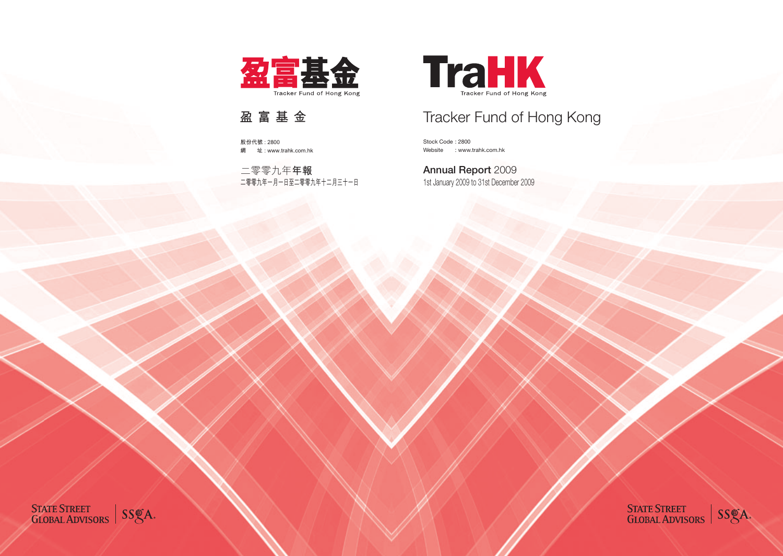

# Tracker Fund of Hong Kong

Stock Code : 2800 Website : www.trahk.com.hk

1st January 2009 to 31st December 2009 Annual Report 2009

STATE STREET<br>GLOBAL ADVISORS SS&A

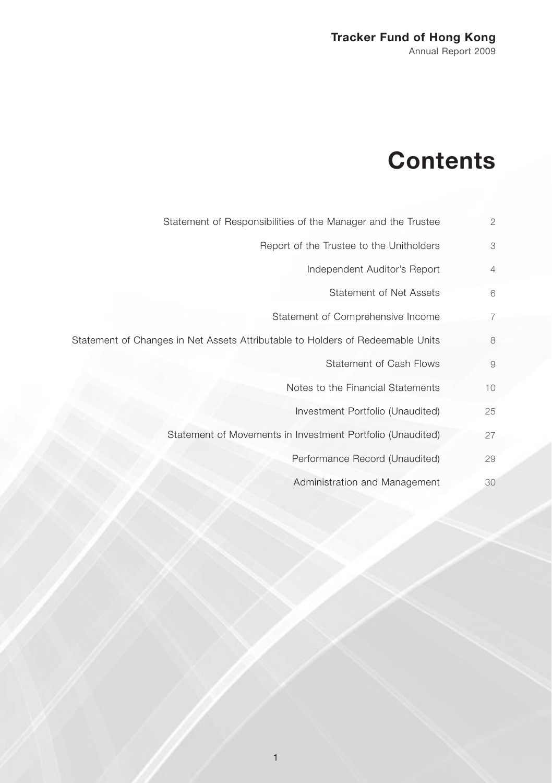# **Contents**

- Statement of Responsibilities of the Manager and the Trustee 2
	- Report of the Trustee to the Unitholders 3
		- Independent Auditor's Report 4
			- Statement of Net Assets 6
		- Statement of Comprehensive Income 7
- Statement of Changes in Net Assets Attributable to Holders of Redeemable Units 8
	- Statement of Cash Flows 9
	- Notes to the Financial Statements 10
		- Investment Portfolio (Unaudited) 25
	- Statement of Movements in Investment Portfolio (Unaudited) 27
		- Performance Record (Unaudited) 29
		- Administration and Management 30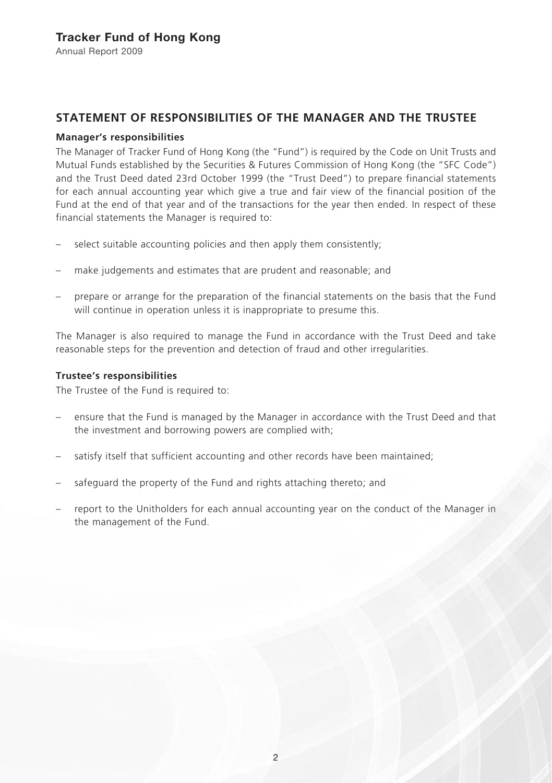# **STATEMENT OF RESPONSIBILITIES OF THE MANAGER AND THE TRUSTEE**

### **Manager's responsibilities**

The Manager of Tracker Fund of Hong Kong (the "Fund") is required by the Code on Unit Trusts and Mutual Funds established by the Securities & Futures Commission of Hong Kong (the "SFC Code") and the Trust Deed dated 23rd October 1999 (the "Trust Deed") to prepare financial statements for each annual accounting year which give a true and fair view of the financial position of the Fund at the end of that year and of the transactions for the year then ended. In respect of these financial statements the Manager is required to:

- select suitable accounting policies and then apply them consistently;
- make judgements and estimates that are prudent and reasonable; and
- prepare or arrange for the preparation of the financial statements on the basis that the Fund will continue in operation unless it is inappropriate to presume this.

The Manager is also required to manage the Fund in accordance with the Trust Deed and take reasonable steps for the prevention and detection of fraud and other irregularities.

### **Trustee's responsibilities**

The Trustee of the Fund is required to:

- ensure that the Fund is managed by the Manager in accordance with the Trust Deed and that the investment and borrowing powers are complied with;
- satisfy itself that sufficient accounting and other records have been maintained;
- safeguard the property of the Fund and rights attaching thereto; and
- report to the Unitholders for each annual accounting year on the conduct of the Manager in the management of the Fund.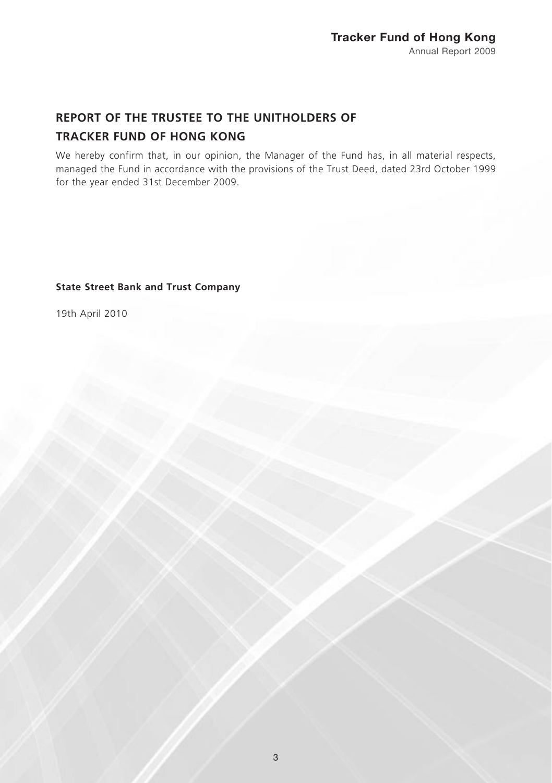# **REPORT OF THE TRUSTEE TO THE UNITHOLDERS OF TRACKER FUND OF HONG KONG**

We hereby confirm that, in our opinion, the Manager of the Fund has, in all material respects, managed the Fund in accordance with the provisions of the Trust Deed, dated 23rd October 1999 for the year ended 31st December 2009.

### **State Street Bank and Trust Company**

19th April 2010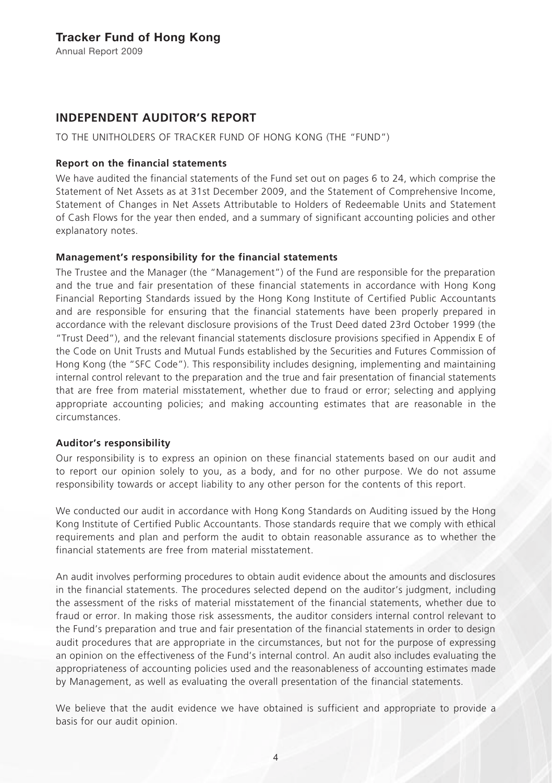# **INDEPENDENT AUDITOR'S REPORT**

TO THE UNITHOLDERS OF TRACKER FUND OF HONG KONG (THE "FUND")

### **Report on the financial statements**

We have audited the financial statements of the Fund set out on pages 6 to 24, which comprise the Statement of Net Assets as at 31st December 2009, and the Statement of Comprehensive Income, Statement of Changes in Net Assets Attributable to Holders of Redeemable Units and Statement of Cash Flows for the year then ended, and a summary of significant accounting policies and other explanatory notes.

### **Management's responsibility for the financial statements**

The Trustee and the Manager (the "Management") of the Fund are responsible for the preparation and the true and fair presentation of these financial statements in accordance with Hong Kong Financial Reporting Standards issued by the Hong Kong Institute of Certified Public Accountants and are responsible for ensuring that the financial statements have been properly prepared in accordance with the relevant disclosure provisions of the Trust Deed dated 23rd October 1999 (the "Trust Deed"), and the relevant financial statements disclosure provisions specified in Appendix E of the Code on Unit Trusts and Mutual Funds established by the Securities and Futures Commission of Hong Kong (the "SFC Code"). This responsibility includes designing, implementing and maintaining internal control relevant to the preparation and the true and fair presentation of financial statements that are free from material misstatement, whether due to fraud or error; selecting and applying appropriate accounting policies; and making accounting estimates that are reasonable in the circumstances.

### **Auditor's responsibility**

Our responsibility is to express an opinion on these financial statements based on our audit and to report our opinion solely to you, as a body, and for no other purpose. We do not assume responsibility towards or accept liability to any other person for the contents of this report.

We conducted our audit in accordance with Hong Kong Standards on Auditing issued by the Hong Kong Institute of Certified Public Accountants. Those standards require that we comply with ethical requirements and plan and perform the audit to obtain reasonable assurance as to whether the financial statements are free from material misstatement.

An audit involves performing procedures to obtain audit evidence about the amounts and disclosures in the financial statements. The procedures selected depend on the auditor's judgment, including the assessment of the risks of material misstatement of the financial statements, whether due to fraud or error. In making those risk assessments, the auditor considers internal control relevant to the Fund's preparation and true and fair presentation of the financial statements in order to design audit procedures that are appropriate in the circumstances, but not for the purpose of expressing an opinion on the effectiveness of the Fund's internal control. An audit also includes evaluating the appropriateness of accounting policies used and the reasonableness of accounting estimates made by Management, as well as evaluating the overall presentation of the financial statements.

We believe that the audit evidence we have obtained is sufficient and appropriate to provide a basis for our audit opinion.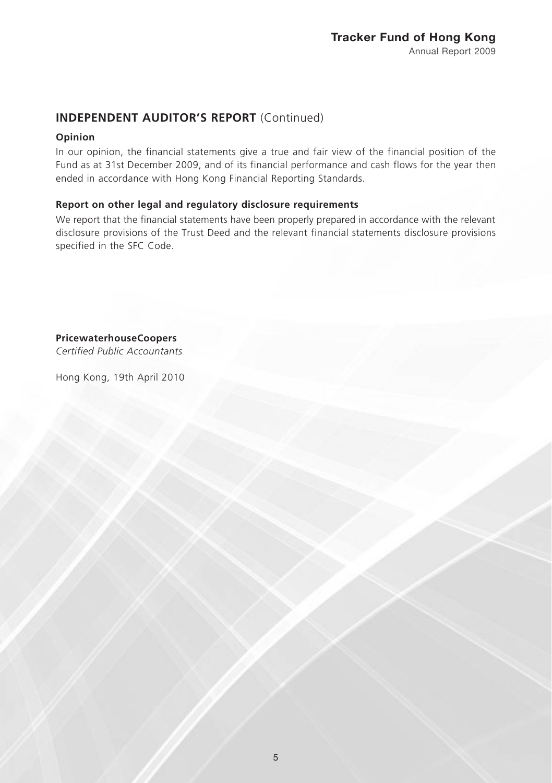# **INDEPENDENT AUDITOR'S REPORT** (Continued)

### **Opinion**

In our opinion, the financial statements give a true and fair view of the financial position of the Fund as at 31st December 2009, and of its financial performance and cash flows for the year then ended in accordance with Hong Kong Financial Reporting Standards.

### **Report on other legal and regulatory disclosure requirements**

We report that the financial statements have been properly prepared in accordance with the relevant disclosure provisions of the Trust Deed and the relevant financial statements disclosure provisions specified in the SFC Code.

**PricewaterhouseCoopers**

*Certified Public Accountants*

Hong Kong, 19th April 2010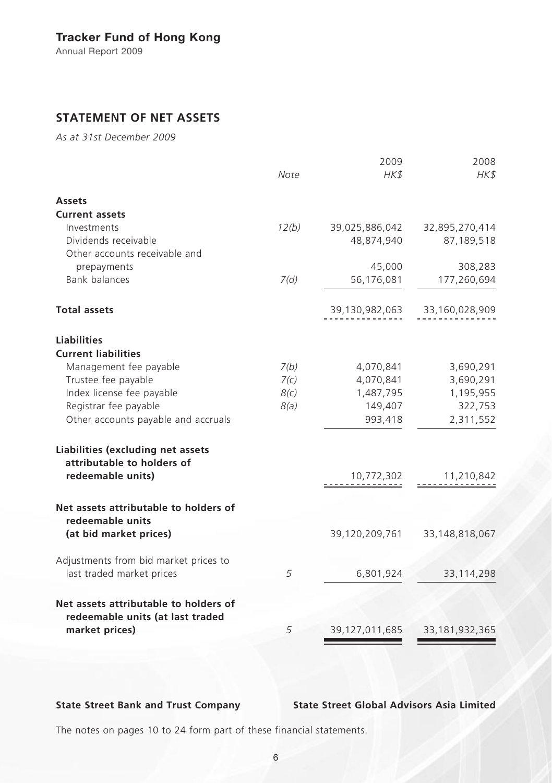# Tracker Fund of Hong Kong

Annual Report 2009

# **STATEMENT OF NET ASSETS**

*As at 31st December 2009*

|                                                                                      | Note  | 2009<br>HK\$      | 2008<br>HK\$      |
|--------------------------------------------------------------------------------------|-------|-------------------|-------------------|
| <b>Assets</b>                                                                        |       |                   |                   |
| <b>Current assets</b>                                                                |       |                   |                   |
| Investments                                                                          | 12(b) | 39,025,886,042    | 32,895,270,414    |
| Dividends receivable                                                                 |       | 48,874,940        | 87,189,518        |
| Other accounts receivable and                                                        |       |                   |                   |
| prepayments                                                                          |       | 45,000            | 308,283           |
| <b>Bank balances</b>                                                                 | 7(d)  | 56,176,081        | 177,260,694       |
|                                                                                      |       |                   |                   |
| <b>Total assets</b>                                                                  |       | 39,130,982,063    | 33,160,028,909    |
| <b>Liabilities</b>                                                                   |       |                   |                   |
| <b>Current liabilities</b>                                                           |       |                   |                   |
| Management fee payable                                                               | 7(b)  | 4,070,841         | 3,690,291         |
| Trustee fee payable                                                                  | 7(c)  | 4,070,841         | 3,690,291         |
| Index license fee payable                                                            | 8(c)  | 1,487,795         | 1,195,955         |
| Registrar fee payable                                                                | 8(a)  | 149,407           | 322,753           |
| Other accounts payable and accruals                                                  |       | 993,418           | 2,311,552         |
| Liabilities (excluding net assets<br>attributable to holders of<br>redeemable units) |       | 10,772,302        | 11,210,842        |
|                                                                                      |       |                   |                   |
| Net assets attributable to holders of                                                |       |                   |                   |
| redeemable units<br>(at bid market prices)                                           |       | 39,120,209,761    | 33,148,818,067    |
| Adjustments from bid market prices to                                                |       |                   |                   |
| last traded market prices                                                            | 5     | 6,801,924         | 33, 114, 298      |
| Net assets attributable to holders of<br>redeemable units (at last traded            |       |                   |                   |
| market prices)                                                                       | 5     | 39, 127, 011, 685 | 33, 181, 932, 365 |
|                                                                                      |       |                   |                   |

**State Street Bank and Trust Company State Street Global Advisors Asia Limited**

The notes on pages 10 to 24 form part of these financial statements.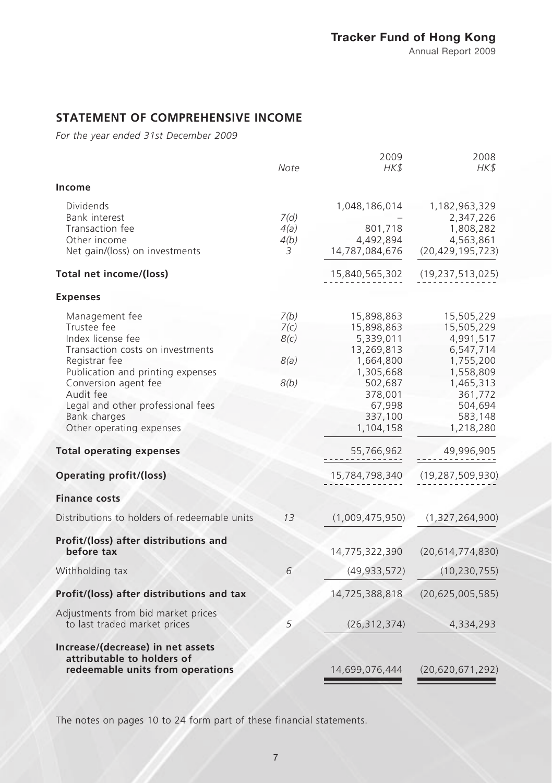# **STATEMENT OF COMPREHENSIVE INCOME**

*For the year ended 31st December 2009*

|                                                                                                                                                                                                                                                                                                                                         | Note                                 | 2009<br>HK\$                                                                                                                                                          | 2008<br>HK\$                                                                                                                                                                 |
|-----------------------------------------------------------------------------------------------------------------------------------------------------------------------------------------------------------------------------------------------------------------------------------------------------------------------------------------|--------------------------------------|-----------------------------------------------------------------------------------------------------------------------------------------------------------------------|------------------------------------------------------------------------------------------------------------------------------------------------------------------------------|
| Income                                                                                                                                                                                                                                                                                                                                  |                                      |                                                                                                                                                                       |                                                                                                                                                                              |
| Dividends<br>Bank interest                                                                                                                                                                                                                                                                                                              | 7(d)                                 | 1,048,186,014                                                                                                                                                         | 1,182,963,329<br>2,347,226                                                                                                                                                   |
| Transaction fee<br>Other income<br>Net gain/(loss) on investments                                                                                                                                                                                                                                                                       | 4(a)<br>4(b)<br>3                    | 801,718<br>4,492,894<br>14,787,084,676                                                                                                                                | 1,808,282<br>4,563,861<br>(20, 429, 195, 723)                                                                                                                                |
| Total net income/(loss)                                                                                                                                                                                                                                                                                                                 |                                      | 15,840,565,302                                                                                                                                                        | (19, 237, 513, 025)                                                                                                                                                          |
| <b>Expenses</b>                                                                                                                                                                                                                                                                                                                         |                                      |                                                                                                                                                                       |                                                                                                                                                                              |
| Management fee<br>Trustee fee<br>Index license fee<br>Transaction costs on investments<br>Registrar fee<br>Publication and printing expenses<br>Conversion agent fee<br>Audit fee<br>Legal and other professional fees<br>Bank charges<br>Other operating expenses<br><b>Total operating expenses</b><br><b>Operating profit/(loss)</b> | 7(b)<br>7(c)<br>8(c)<br>8(a)<br>8(b) | 15,898,863<br>15,898,863<br>5,339,011<br>13,269,813<br>1,664,800<br>1,305,668<br>502,687<br>378,001<br>67,998<br>337,100<br>1,104,158<br>55,766,962<br>15,784,798,340 | 15,505,229<br>15,505,229<br>4,991,517<br>6,547,714<br>1,755,200<br>1,558,809<br>1,465,313<br>361,772<br>504,694<br>583,148<br>1,218,280<br>49,996,905<br>(19, 287, 509, 930) |
| <b>Finance costs</b>                                                                                                                                                                                                                                                                                                                    |                                      |                                                                                                                                                                       |                                                                                                                                                                              |
| Distributions to holders of redeemable units                                                                                                                                                                                                                                                                                            | 13                                   | (1,009,475,950)                                                                                                                                                       | (1,327,264,900)                                                                                                                                                              |
| Profit/(loss) after distributions and<br>before tax                                                                                                                                                                                                                                                                                     |                                      | 14,775,322,390                                                                                                                                                        | (20,614,774,830)                                                                                                                                                             |
| Withholding tax                                                                                                                                                                                                                                                                                                                         | 6                                    | (49, 933, 572)                                                                                                                                                        | (10, 230, 755)                                                                                                                                                               |
| Profit/(loss) after distributions and tax                                                                                                                                                                                                                                                                                               |                                      | 14,725,388,818                                                                                                                                                        | (20,625,005,585)                                                                                                                                                             |
| Adjustments from bid market prices<br>to last traded market prices                                                                                                                                                                                                                                                                      | 5                                    | (26, 312, 374)                                                                                                                                                        | 4,334,293                                                                                                                                                                    |
| Increase/(decrease) in net assets<br>attributable to holders of<br>redeemable units from operations                                                                                                                                                                                                                                     |                                      | 14,699,076,444                                                                                                                                                        | (20, 620, 671, 292)                                                                                                                                                          |

The notes on pages 10 to 24 form part of these financial statements.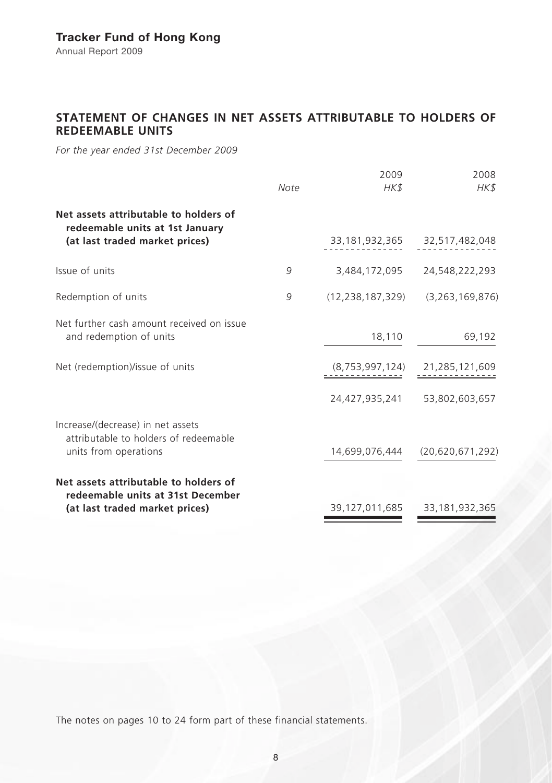# **STATEMENT OF CHANGES IN NET ASSETS ATTRIBUTABLE TO HOLDERS OF REDEEMABLE UNITS**

*For the year ended 31st December 2009*

|                                                                                                              | Note | 2009<br>HK\$        | 2008<br>HK\$                  |
|--------------------------------------------------------------------------------------------------------------|------|---------------------|-------------------------------|
| Net assets attributable to holders of<br>redeemable units at 1st January                                     |      |                     |                               |
| (at last traded market prices)                                                                               |      |                     | 33,181,932,365 32,517,482,048 |
| Issue of units                                                                                               | 9    | 3,484,172,095       | 24,548,222,293                |
| Redemption of units                                                                                          | 9    | (12, 238, 187, 329) | (3, 263, 169, 876)            |
| Net further cash amount received on issue<br>and redemption of units                                         |      | 18,110              | 69,192                        |
| Net (redemption)/issue of units                                                                              |      | (8,753,997,124)     | 21,285,121,609                |
|                                                                                                              |      | 24.427.935.241      | 53,802,603,657                |
| Increase/(decrease) in net assets<br>attributable to holders of redeemable<br>units from operations          |      | 14,699,076,444      | (20,620,671,292)              |
| Net assets attributable to holders of<br>redeemable units at 31st December<br>(at last traded market prices) |      | 39,127,011,685      | 33,181,932,365                |

The notes on pages 10 to 24 form part of these financial statements.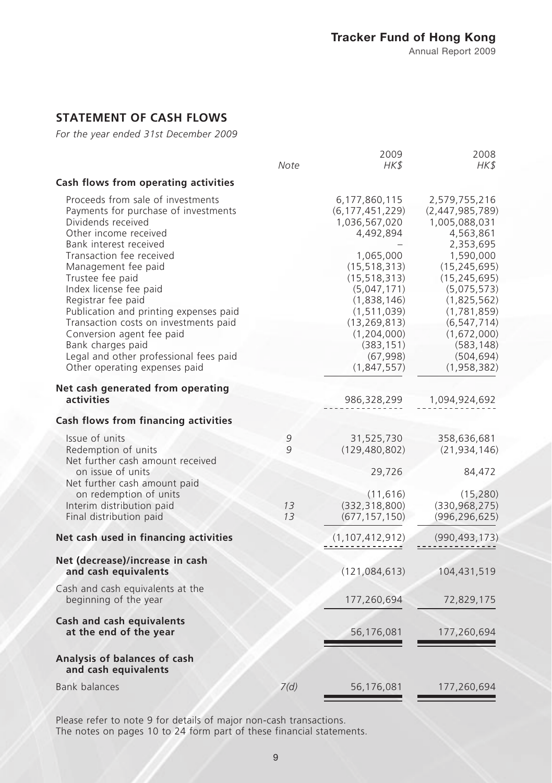# **STATEMENT OF CASH FLOWS**

*For the year ended 31st December 2009*

|                                                                                                                                                                                                                                                                                                                                                                                                                                                                                           | Note     | 2009<br>HK\$                                                                                                                                                                                                                                   | 2008<br>HK\$                                                                                                                                                                                                                                         |
|-------------------------------------------------------------------------------------------------------------------------------------------------------------------------------------------------------------------------------------------------------------------------------------------------------------------------------------------------------------------------------------------------------------------------------------------------------------------------------------------|----------|------------------------------------------------------------------------------------------------------------------------------------------------------------------------------------------------------------------------------------------------|------------------------------------------------------------------------------------------------------------------------------------------------------------------------------------------------------------------------------------------------------|
| Cash flows from operating activities                                                                                                                                                                                                                                                                                                                                                                                                                                                      |          |                                                                                                                                                                                                                                                |                                                                                                                                                                                                                                                      |
| Proceeds from sale of investments<br>Payments for purchase of investments<br>Dividends received<br>Other income received<br>Bank interest received<br>Transaction fee received<br>Management fee paid<br>Trustee fee paid<br>Index license fee paid<br>Registrar fee paid<br>Publication and printing expenses paid<br>Transaction costs on investments paid<br>Conversion agent fee paid<br>Bank charges paid<br>Legal and other professional fees paid<br>Other operating expenses paid |          | 6,177,860,115<br>(6, 177, 451, 229)<br>1,036,567,020<br>4,492,894<br>1,065,000<br>(15, 518, 313)<br>(15, 518, 313)<br>(5,047,171)<br>(1,838,146)<br>(1, 511, 039)<br>(13, 269, 813)<br>(1,204,000)<br>(383, 151)<br>(67, 998)<br>(1, 847, 557) | 2,579,755,216<br>(2,447,985,789)<br>1,005,088,031<br>4,563,861<br>2,353,695<br>1,590,000<br>(15, 245, 695)<br>(15, 245, 695)<br>(5,075,573)<br>(1,825,562)<br>(1,781,859)<br>(6, 547, 714)<br>(1,672,000)<br>(583, 148)<br>(504, 694)<br>(1,958,382) |
| Net cash generated from operating<br>activities                                                                                                                                                                                                                                                                                                                                                                                                                                           |          | 986,328,299                                                                                                                                                                                                                                    | 1,094,924,692                                                                                                                                                                                                                                        |
| Cash flows from financing activities                                                                                                                                                                                                                                                                                                                                                                                                                                                      |          |                                                                                                                                                                                                                                                |                                                                                                                                                                                                                                                      |
| Issue of units<br>Redemption of units<br>Net further cash amount received<br>on issue of units<br>Net further cash amount paid                                                                                                                                                                                                                                                                                                                                                            | 9<br>9   | 31,525,730<br>(129, 480, 802)<br>29,726                                                                                                                                                                                                        | 358,636,681<br>(21, 934, 146)<br>84,472                                                                                                                                                                                                              |
| on redemption of units<br>Interim distribution paid<br>Final distribution paid                                                                                                                                                                                                                                                                                                                                                                                                            | 13<br>13 | (11, 616)<br>(332, 318, 800)<br>(677, 157, 150)                                                                                                                                                                                                | (15, 280)<br>(330, 968, 275)<br>(996,296,625)                                                                                                                                                                                                        |
| Net cash used in financing activities                                                                                                                                                                                                                                                                                                                                                                                                                                                     |          | (1, 107, 412, 912)                                                                                                                                                                                                                             | (990, 493, 173)                                                                                                                                                                                                                                      |
| Net (decrease)/increase in cash<br>and cash equivalents                                                                                                                                                                                                                                                                                                                                                                                                                                   |          | (121, 084, 613)                                                                                                                                                                                                                                | 104,431,519                                                                                                                                                                                                                                          |
| Cash and cash equivalents at the<br>beginning of the year                                                                                                                                                                                                                                                                                                                                                                                                                                 |          | 177,260,694                                                                                                                                                                                                                                    | 72,829,175                                                                                                                                                                                                                                           |
| Cash and cash equivalents<br>at the end of the year                                                                                                                                                                                                                                                                                                                                                                                                                                       |          | 56,176,081                                                                                                                                                                                                                                     | 177,260,694                                                                                                                                                                                                                                          |
| Analysis of balances of cash<br>and cash equivalents                                                                                                                                                                                                                                                                                                                                                                                                                                      |          |                                                                                                                                                                                                                                                |                                                                                                                                                                                                                                                      |
| <b>Bank balances</b>                                                                                                                                                                                                                                                                                                                                                                                                                                                                      | 7(d)     | 56,176,081                                                                                                                                                                                                                                     | 177,260,694                                                                                                                                                                                                                                          |

Please refer to note 9 for details of major non-cash transactions. The notes on pages 10 to 24 form part of these financial statements.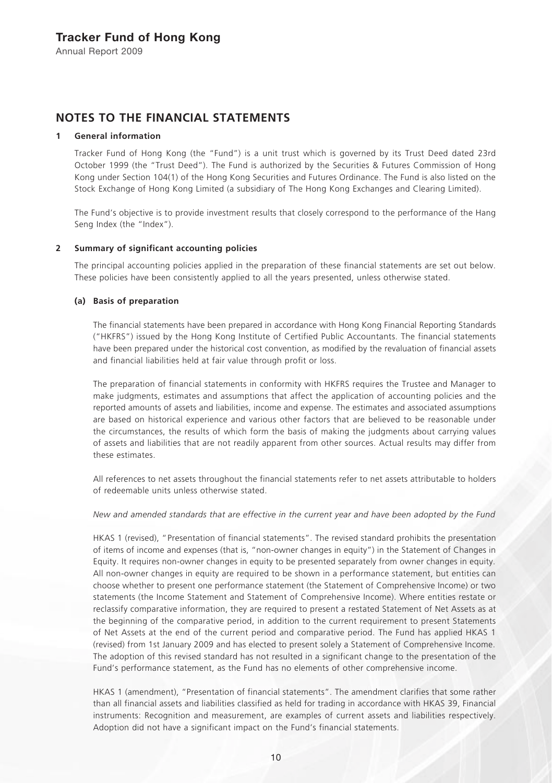## **NOTES TO THE FINANCIAL STATEMENTS**

### **1 General information**

Tracker Fund of Hong Kong (the "Fund") is a unit trust which is governed by its Trust Deed dated 23rd October 1999 (the "Trust Deed"). The Fund is authorized by the Securities & Futures Commission of Hong Kong under Section 104(1) of the Hong Kong Securities and Futures Ordinance. The Fund is also listed on the Stock Exchange of Hong Kong Limited (a subsidiary of The Hong Kong Exchanges and Clearing Limited).

The Fund's objective is to provide investment results that closely correspond to the performance of the Hang Seng Index (the "Index").

### **2 Summary of significant accounting policies**

The principal accounting policies applied in the preparation of these financial statements are set out below. These policies have been consistently applied to all the years presented, unless otherwise stated.

### **(a) Basis of preparation**

The financial statements have been prepared in accordance with Hong Kong Financial Reporting Standards ("HKFRS") issued by the Hong Kong Institute of Certified Public Accountants. The financial statements have been prepared under the historical cost convention, as modified by the revaluation of financial assets and financial liabilities held at fair value through profit or loss.

The preparation of financial statements in conformity with HKFRS requires the Trustee and Manager to make judgments, estimates and assumptions that affect the application of accounting policies and the reported amounts of assets and liabilities, income and expense. The estimates and associated assumptions are based on historical experience and various other factors that are believed to be reasonable under the circumstances, the results of which form the basis of making the judgments about carrying values of assets and liabilities that are not readily apparent from other sources. Actual results may differ from these estimates.

All references to net assets throughout the financial statements refer to net assets attributable to holders of redeemable units unless otherwise stated.

#### *New and amended standards that are effective in the current year and have been adopted by the Fund*

HKAS 1 (revised), "Presentation of financial statements". The revised standard prohibits the presentation of items of income and expenses (that is, "non-owner changes in equity") in the Statement of Changes in Equity. It requires non-owner changes in equity to be presented separately from owner changes in equity. All non-owner changes in equity are required to be shown in a performance statement, but entities can choose whether to present one performance statement (the Statement of Comprehensive Income) or two statements (the Income Statement and Statement of Comprehensive Income). Where entities restate or reclassify comparative information, they are required to present a restated Statement of Net Assets as at the beginning of the comparative period, in addition to the current requirement to present Statements of Net Assets at the end of the current period and comparative period. The Fund has applied HKAS 1 (revised) from 1st January 2009 and has elected to present solely a Statement of Comprehensive Income. The adoption of this revised standard has not resulted in a significant change to the presentation of the Fund's performance statement, as the Fund has no elements of other comprehensive income.

HKAS 1 (amendment), "Presentation of financial statements". The amendment clarifies that some rather than all financial assets and liabilities classified as held for trading in accordance with HKAS 39, Financial instruments: Recognition and measurement, are examples of current assets and liabilities respectively. Adoption did not have a significant impact on the Fund's financial statements.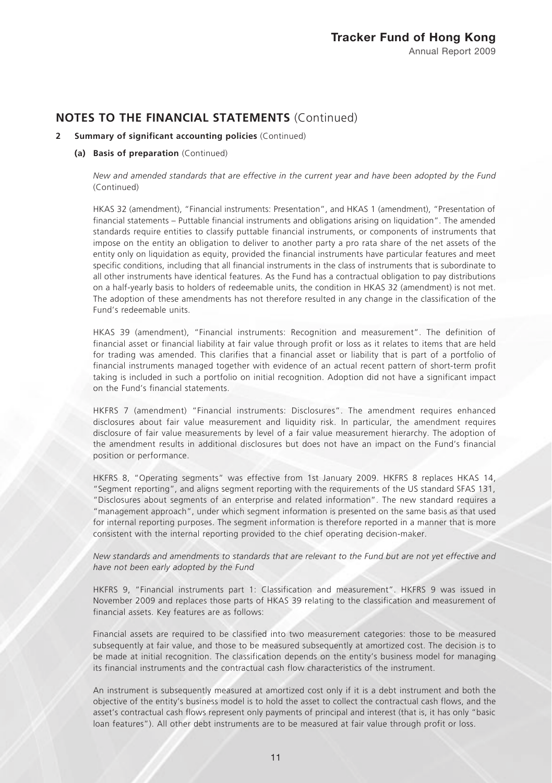### **2 Summary of significant accounting policies** (Continued)

#### **(a) Basis of preparation** (Continued)

*New and amended standards that are effective in the current year and have been adopted by the Fund*  (Continued)

HKAS 32 (amendment), "Financial instruments: Presentation", and HKAS 1 (amendment), "Presentation of financial statements – Puttable financial instruments and obligations arising on liquidation". The amended standards require entities to classify puttable financial instruments, or components of instruments that impose on the entity an obligation to deliver to another party a pro rata share of the net assets of the entity only on liquidation as equity, provided the financial instruments have particular features and meet specific conditions, including that all financial instruments in the class of instruments that is subordinate to all other instruments have identical features. As the Fund has a contractual obligation to pay distributions on a half-yearly basis to holders of redeemable units, the condition in HKAS 32 (amendment) is not met. The adoption of these amendments has not therefore resulted in any change in the classification of the Fund's redeemable units.

HKAS 39 (amendment), "Financial instruments: Recognition and measurement". The definition of financial asset or financial liability at fair value through profit or loss as it relates to items that are held for trading was amended. This clarifies that a financial asset or liability that is part of a portfolio of financial instruments managed together with evidence of an actual recent pattern of short-term profit taking is included in such a portfolio on initial recognition. Adoption did not have a significant impact on the Fund's financial statements.

HKFRS 7 (amendment) "Financial instruments: Disclosures". The amendment requires enhanced disclosures about fair value measurement and liquidity risk. In particular, the amendment requires disclosure of fair value measurements by level of a fair value measurement hierarchy. The adoption of the amendment results in additional disclosures but does not have an impact on the Fund's financial position or performance.

HKFRS 8, "Operating segments" was effective from 1st January 2009. HKFRS 8 replaces HKAS 14, "Segment reporting", and aligns segment reporting with the requirements of the US standard SFAS 131, "Disclosures about segments of an enterprise and related information". The new standard requires a "management approach", under which segment information is presented on the same basis as that used for internal reporting purposes. The segment information is therefore reported in a manner that is more consistent with the internal reporting provided to the chief operating decision-maker.

*New standards and amendments to standards that are relevant to the Fund but are not yet effective and have not been early adopted by the Fund*

HKFRS 9, "Financial instruments part 1: Classification and measurement". HKFRS 9 was issued in November 2009 and replaces those parts of HKAS 39 relating to the classification and measurement of financial assets. Key features are as follows:

Financial assets are required to be classified into two measurement categories: those to be measured subsequently at fair value, and those to be measured subsequently at amortized cost. The decision is to be made at initial recognition. The classification depends on the entity's business model for managing its financial instruments and the contractual cash flow characteristics of the instrument.

An instrument is subsequently measured at amortized cost only if it is a debt instrument and both the objective of the entity's business model is to hold the asset to collect the contractual cash flows, and the asset's contractual cash flows represent only payments of principal and interest (that is, it has only "basic loan features"). All other debt instruments are to be measured at fair value through profit or loss.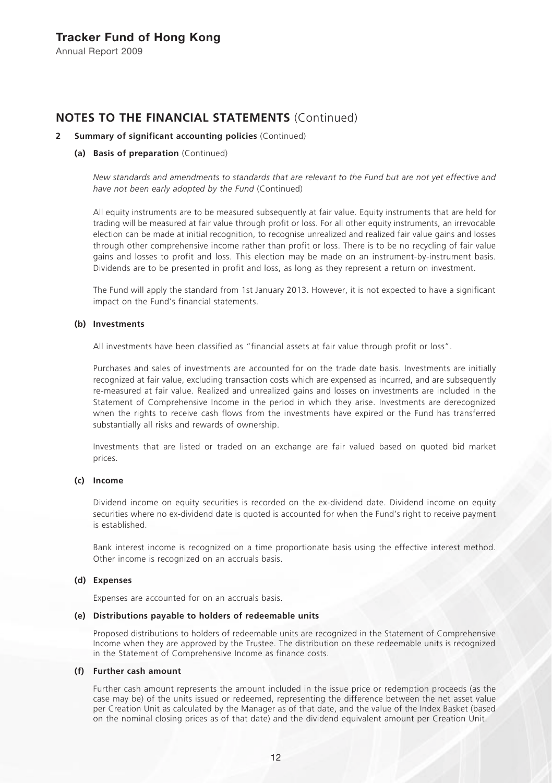### Tracker Fund of Hong Kong

Annual Report 2009

### **NOTES TO THE FINANCIAL STATEMENTS** (Continued)

### **2 Summary of significant accounting policies** (Continued)

#### **(a) Basis of preparation** (Continued)

*New standards and amendments to standards that are relevant to the Fund but are not yet effective and have not been early adopted by the Fund* (Continued)

All equity instruments are to be measured subsequently at fair value. Equity instruments that are held for trading will be measured at fair value through profit or loss. For all other equity instruments, an irrevocable election can be made at initial recognition, to recognise unrealized and realized fair value gains and losses through other comprehensive income rather than profit or loss. There is to be no recycling of fair value gains and losses to profit and loss. This election may be made on an instrument-by-instrument basis. Dividends are to be presented in profit and loss, as long as they represent a return on investment.

The Fund will apply the standard from 1st January 2013. However, it is not expected to have a significant impact on the Fund's financial statements.

#### **(b) Investments**

All investments have been classified as "financial assets at fair value through profit or loss".

Purchases and sales of investments are accounted for on the trade date basis. Investments are initially recognized at fair value, excluding transaction costs which are expensed as incurred, and are subsequently re-measured at fair value. Realized and unrealized gains and losses on investments are included in the Statement of Comprehensive Income in the period in which they arise. Investments are derecognized when the rights to receive cash flows from the investments have expired or the Fund has transferred substantially all risks and rewards of ownership.

Investments that are listed or traded on an exchange are fair valued based on quoted bid market prices.

#### **(c) Income**

Dividend income on equity securities is recorded on the ex-dividend date. Dividend income on equity securities where no ex-dividend date is quoted is accounted for when the Fund's right to receive payment is established.

Bank interest income is recognized on a time proportionate basis using the effective interest method. Other income is recognized on an accruals basis.

### **(d) Expenses**

Expenses are accounted for on an accruals basis.

### **(e) Distributions payable to holders of redeemable units**

Proposed distributions to holders of redeemable units are recognized in the Statement of Comprehensive Income when they are approved by the Trustee. The distribution on these redeemable units is recognized in the Statement of Comprehensive Income as finance costs.

### **(f) Further cash amount**

Further cash amount represents the amount included in the issue price or redemption proceeds (as the case may be) of the units issued or redeemed, representing the difference between the net asset value per Creation Unit as calculated by the Manager as of that date, and the value of the Index Basket (based on the nominal closing prices as of that date) and the dividend equivalent amount per Creation Unit.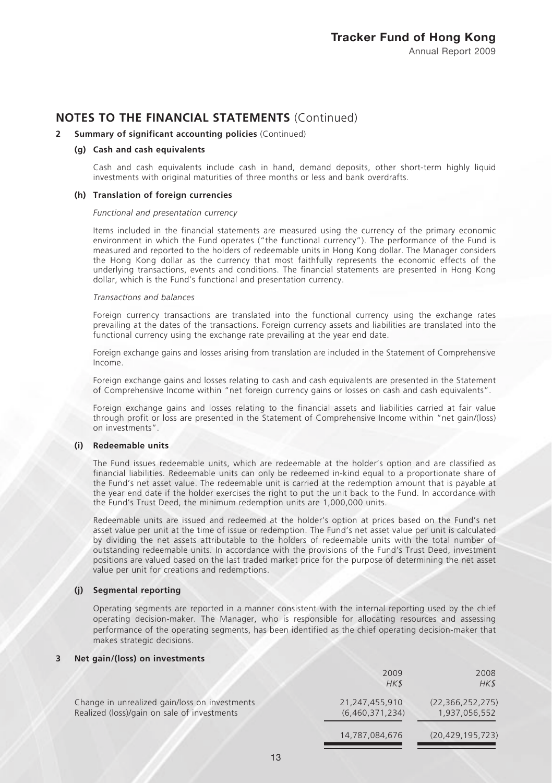#### **2 Summary of significant accounting policies** (Continued)

#### **(g) Cash and cash equivalents**

Cash and cash equivalents include cash in hand, demand deposits, other short-term highly liquid investments with original maturities of three months or less and bank overdrafts.

#### **(h) Translation of foreign currencies**

#### *Functional and presentation currency*

Items included in the financial statements are measured using the currency of the primary economic environment in which the Fund operates ("the functional currency"). The performance of the Fund is measured and reported to the holders of redeemable units in Hong Kong dollar. The Manager considers the Hong Kong dollar as the currency that most faithfully represents the economic effects of the underlying transactions, events and conditions. The financial statements are presented in Hong Kong dollar, which is the Fund's functional and presentation currency.

#### *Transactions and balances*

Foreign currency transactions are translated into the functional currency using the exchange rates prevailing at the dates of the transactions. Foreign currency assets and liabilities are translated into the functional currency using the exchange rate prevailing at the year end date.

Foreign exchange gains and losses arising from translation are included in the Statement of Comprehensive Income.

Foreign exchange gains and losses relating to cash and cash equivalents are presented in the Statement of Comprehensive Income within "net foreign currency gains or losses on cash and cash equivalents".

Foreign exchange gains and losses relating to the financial assets and liabilities carried at fair value through profit or loss are presented in the Statement of Comprehensive Income within "net gain/(loss) on investments".

#### **(i) Redeemable units**

The Fund issues redeemable units, which are redeemable at the holder's option and are classified as financial liabilities. Redeemable units can only be redeemed in-kind equal to a proportionate share of the Fund's net asset value. The redeemable unit is carried at the redemption amount that is payable at the year end date if the holder exercises the right to put the unit back to the Fund. In accordance with the Fund's Trust Deed, the minimum redemption units are 1,000,000 units.

Redeemable units are issued and redeemed at the holder's option at prices based on the Fund's net asset value per unit at the time of issue or redemption. The Fund's net asset value per unit is calculated by dividing the net assets attributable to the holders of redeemable units with the total number of outstanding redeemable units. In accordance with the provisions of the Fund's Trust Deed, investment positions are valued based on the last traded market price for the purpose of determining the net asset value per unit for creations and redemptions.

### **(j) Segmental reporting**

Operating segments are reported in a manner consistent with the internal reporting used by the chief operating decision-maker. The Manager, who is responsible for allocating resources and assessing performance of the operating segments, has been identified as the chief operating decision-maker that makes strategic decisions.

#### **3 Net gain/(loss) on investments**

|                                                                                              | 2009<br>HK\$                      | 2008<br>HK\$                         |
|----------------------------------------------------------------------------------------------|-----------------------------------|--------------------------------------|
| Change in unrealized gain/loss on investments<br>Realized (loss)/gain on sale of investments | 21,247,455,910<br>(6,460,371,234) | (22, 366, 252, 275)<br>1,937,056,552 |
|                                                                                              | 14,787,084,676                    | (20, 429, 195, 723)                  |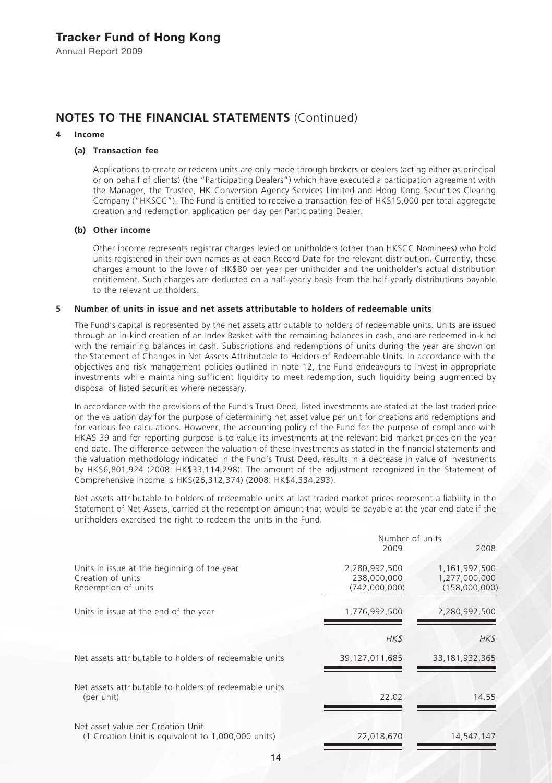# **NOTES TO THE FINANCIAL STATEMENTS** (Continued)

#### **4 Income**

### **(a) Transaction fee**

Applications to create or redeem units are only made through brokers or dealers (acting either as principal or on behalf of clients) (the "Participating Dealers") which have executed a participation agreement with the Manager, the Trustee, HK Conversion Agency Services Limited and Hong Kong Securities Clearing Company ("HKSCC"). The Fund is entitled to receive a transaction fee of HK\$15,000 per total aggregate creation and redemption application per day per Participating Dealer.

### **(b) Other income**

Other income represents registrar charges levied on unitholders (other than HKSCC Nominees) who hold units registered in their own names as at each Record Date for the relevant distribution. Currently, these charges amount to the lower of HK\$80 per year per unitholder and the unitholder's actual distribution entitlement. Such charges are deducted on a half-yearly basis from the half-yearly distributions payable to the relevant unitholders.

### **5 Number of units in issue and net assets attributable to holders of redeemable units**

The Fund's capital is represented by the net assets attributable to holders of redeemable units. Units are issued through an in-kind creation of an Index Basket with the remaining balances in cash, and are redeemed in-kind with the remaining balances in cash. Subscriptions and redemptions of units during the year are shown on the Statement of Changes in Net Assets Attributable to Holders of Redeemable Units. In accordance with the objectives and risk management policies outlined in note 12, the Fund endeavours to invest in appropriate investments while maintaining sufficient liquidity to meet redemption, such liquidity being augmented by disposal of listed securities where necessary.

In accordance with the provisions of the Fund's Trust Deed, listed investments are stated at the last traded price on the valuation day for the purpose of determining net asset value per unit for creations and redemptions and for various fee calculations. However, the accounting policy of the Fund for the purpose of compliance with HKAS 39 and for reporting purpose is to value its investments at the relevant bid market prices on the year end date. The difference between the valuation of these investments as stated in the financial statements and the valuation methodology indicated in the Fund's Trust Deed, results in a decrease in value of investments by HK\$6,801,924 (2008: HK\$33,114,298). The amount of the adjustment recognized in the Statement of Comprehensive Income is HK\$(26,312,374) (2008: HK\$4,334,293).

Net assets attributable to holders of redeemable units at last traded market prices represent a liability in the Statement of Net Assets, carried at the redemption amount that would be payable at the year end date if the unitholders exercised the right to redeem the units in the Fund.

|                                                                                         | Number of units                               |                                                 |
|-----------------------------------------------------------------------------------------|-----------------------------------------------|-------------------------------------------------|
|                                                                                         | 2009                                          | 2008                                            |
| Units in issue at the beginning of the year<br>Creation of units<br>Redemption of units | 2,280,992,500<br>238,000,000<br>(742.000.000) | 1,161,992,500<br>1,277,000,000<br>(158,000,000) |
| Units in issue at the end of the year                                                   | 1,776,992,500                                 | 2,280,992,500                                   |
|                                                                                         | HK\$                                          | HK\$                                            |
| Net assets attributable to holders of redeemable units                                  | 39,127,011,685                                | 33, 181, 932, 365                               |
| Net assets attributable to holders of redeemable units<br>(per unit)                    | 22.02                                         | 14.55                                           |
| Net asset value per Creation Unit<br>(1 Creation Unit is equivalent to 1,000,000 units) | 22,018,670                                    | 14,547,147                                      |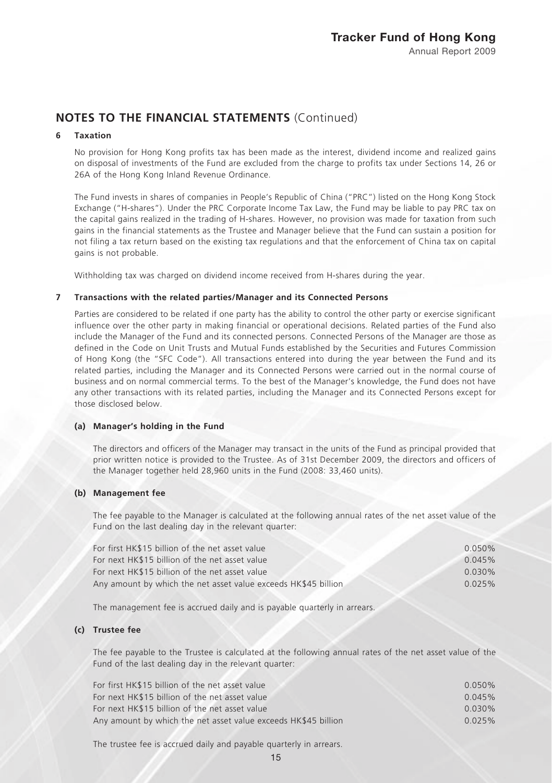### **6 Taxation**

No provision for Hong Kong profits tax has been made as the interest, dividend income and realized gains on disposal of investments of the Fund are excluded from the charge to profits tax under Sections 14, 26 or 26A of the Hong Kong Inland Revenue Ordinance.

The Fund invests in shares of companies in People's Republic of China ("PRC") listed on the Hong Kong Stock Exchange ("H-shares"). Under the PRC Corporate Income Tax Law, the Fund may be liable to pay PRC tax on the capital gains realized in the trading of H-shares. However, no provision was made for taxation from such gains in the financial statements as the Trustee and Manager believe that the Fund can sustain a position for not filing a tax return based on the existing tax regulations and that the enforcement of China tax on capital gains is not probable.

Withholding tax was charged on dividend income received from H-shares during the year.

### **7 Transactions with the related parties/Manager and its Connected Persons**

Parties are considered to be related if one party has the ability to control the other party or exercise significant influence over the other party in making financial or operational decisions. Related parties of the Fund also include the Manager of the Fund and its connected persons. Connected Persons of the Manager are those as defined in the Code on Unit Trusts and Mutual Funds established by the Securities and Futures Commission of Hong Kong (the "SFC Code"). All transactions entered into during the year between the Fund and its related parties, including the Manager and its Connected Persons were carried out in the normal course of business and on normal commercial terms. To the best of the Manager's knowledge, the Fund does not have any other transactions with its related parties, including the Manager and its Connected Persons except for those disclosed below.

#### **(a) Manager's holding in the Fund**

The directors and officers of the Manager may transact in the units of the Fund as principal provided that prior written notice is provided to the Trustee. As of 31st December 2009, the directors and officers of the Manager together held 28,960 units in the Fund (2008: 33,460 units).

#### **(b) Management fee**

The fee payable to the Manager is calculated at the following annual rates of the net asset value of the Fund on the last dealing day in the relevant quarter:

| For first HK\$15 billion of the net asset value                | $0.050\%$ |
|----------------------------------------------------------------|-----------|
| For next HK\$15 billion of the net asset value                 | 0.045%    |
| For next HK\$15 billion of the net asset value                 | $0.030\%$ |
| Any amount by which the net asset value exceeds HK\$45 billion | 0.025%    |
|                                                                |           |

The management fee is accrued daily and is payable quarterly in arrears.

### **(c) Trustee fee**

The fee payable to the Trustee is calculated at the following annual rates of the net asset value of the Fund of the last dealing day in the relevant quarter:

| For first HK\$15 billion of the net asset value                | $0.050\%$ |
|----------------------------------------------------------------|-----------|
| For next HK\$15 billion of the net asset value                 | 0.045%    |
| For next HK\$15 billion of the net asset value                 | $0.030\%$ |
| Any amount by which the net asset value exceeds HK\$45 billion | 0.025%    |
|                                                                |           |

The trustee fee is accrued daily and payable quarterly in arrears.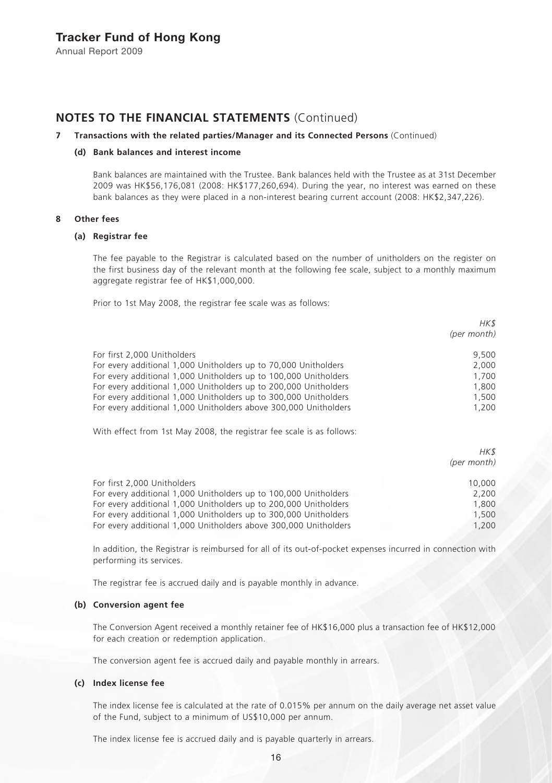### **NOTES TO THE FINANCIAL STATEMENTS** (Continued)

### **7 Transactions with the related parties/Manager and its Connected Persons** (Continued)

### **(d) Bank balances and interest income**

Bank balances are maintained with the Trustee. Bank balances held with the Trustee as at 31st December 2009 was HK\$56,176,081 (2008: HK\$177,260,694). During the year, no interest was earned on these bank balances as they were placed in a non-interest bearing current account (2008: HK\$2,347,226).

#### **8 Other fees**

### **(a) Registrar fee**

The fee payable to the Registrar is calculated based on the number of unitholders on the register on the first business day of the relevant month at the following fee scale, subject to a monthly maximum aggregate registrar fee of HK\$1,000,000.

Prior to 1st May 2008, the registrar fee scale was as follows:

|                                                                  | HK\$<br>(per month) |
|------------------------------------------------------------------|---------------------|
| For first 2,000 Unitholders                                      | 9.500               |
| For every additional 1,000 Unitholders up to 70,000 Unitholders  | 2,000               |
| For every additional 1,000 Unitholders up to 100,000 Unitholders | 1,700               |
| For every additional 1,000 Unitholders up to 200,000 Unitholders | 1,800               |
| For every additional 1,000 Unitholders up to 300,000 Unitholders | 1,500               |
| For every additional 1,000 Unitholders above 300,000 Unitholders | 1,200               |
|                                                                  |                     |

With effect from 1st May 2008, the registrar fee scale is as follows:

|                                                                  | HK\$<br>(per month) |
|------------------------------------------------------------------|---------------------|
| For first 2,000 Unitholders                                      | 10,000              |
| For every additional 1,000 Unitholders up to 100,000 Unitholders | 2.200               |
| For every additional 1,000 Unitholders up to 200,000 Unitholders | 1,800               |
| For every additional 1,000 Unitholders up to 300,000 Unitholders | 1,500               |
| For every additional 1,000 Unitholders above 300,000 Unitholders | 1.200               |

In addition, the Registrar is reimbursed for all of its out-of-pocket expenses incurred in connection with performing its services.

The registrar fee is accrued daily and is payable monthly in advance.

#### **(b) Conversion agent fee**

The Conversion Agent received a monthly retainer fee of HK\$16,000 plus a transaction fee of HK\$12,000 for each creation or redemption application.

The conversion agent fee is accrued daily and payable monthly in arrears.

### **(c) Index license fee**

The index license fee is calculated at the rate of 0.015% per annum on the daily average net asset value of the Fund, subject to a minimum of US\$10,000 per annum.

The index license fee is accrued daily and is payable quarterly in arrears.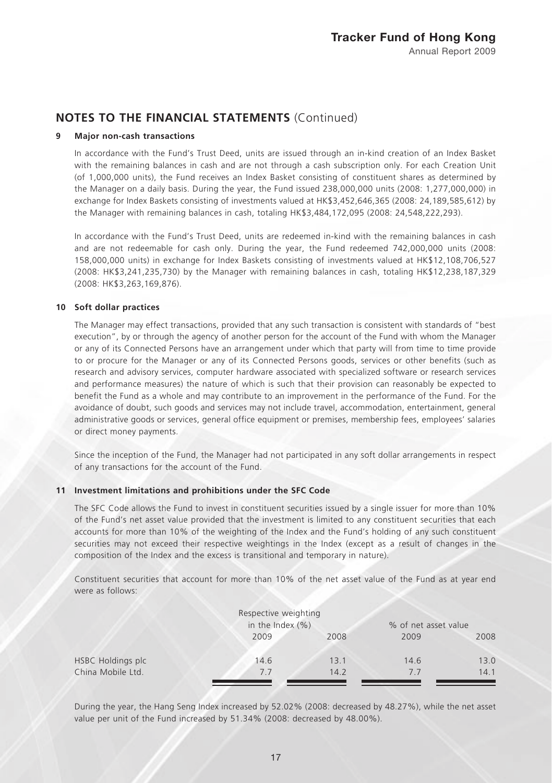### **9 Major non-cash transactions**

In accordance with the Fund's Trust Deed, units are issued through an in-kind creation of an Index Basket with the remaining balances in cash and are not through a cash subscription only. For each Creation Unit (of 1,000,000 units), the Fund receives an Index Basket consisting of constituent shares as determined by the Manager on a daily basis. During the year, the Fund issued 238,000,000 units (2008: 1,277,000,000) in exchange for Index Baskets consisting of investments valued at HK\$3,452,646,365 (2008: 24,189,585,612) by the Manager with remaining balances in cash, totaling HK\$3,484,172,095 (2008: 24,548,222,293).

In accordance with the Fund's Trust Deed, units are redeemed in-kind with the remaining balances in cash and are not redeemable for cash only. During the year, the Fund redeemed 742,000,000 units (2008: 158,000,000 units) in exchange for Index Baskets consisting of investments valued at HK\$12,108,706,527 (2008: HK\$3,241,235,730) by the Manager with remaining balances in cash, totaling HK\$12,238,187,329 (2008: HK\$3,263,169,876).

### **10 Soft dollar practices**

The Manager may effect transactions, provided that any such transaction is consistent with standards of "best execution", by or through the agency of another person for the account of the Fund with whom the Manager or any of its Connected Persons have an arrangement under which that party will from time to time provide to or procure for the Manager or any of its Connected Persons goods, services or other benefits (such as research and advisory services, computer hardware associated with specialized software or research services and performance measures) the nature of which is such that their provision can reasonably be expected to benefit the Fund as a whole and may contribute to an improvement in the performance of the Fund. For the avoidance of doubt, such goods and services may not include travel, accommodation, entertainment, general administrative goods or services, general office equipment or premises, membership fees, employees' salaries or direct money payments.

Since the inception of the Fund, the Manager had not participated in any soft dollar arrangements in respect of any transactions for the account of the Fund.

### **11 Investment limitations and prohibitions under the SFC Code**

The SFC Code allows the Fund to invest in constituent securities issued by a single issuer for more than 10% of the Fund's net asset value provided that the investment is limited to any constituent securities that each accounts for more than 10% of the weighting of the Index and the Fund's holding of any such constituent securities may not exceed their respective weightings in the Index (except as a result of changes in the composition of the Index and the excess is transitional and temporary in nature).

Constituent securities that account for more than 10% of the net asset value of the Fund as at year end were as follows:

|                   | Respective weighting<br>in the Index $(\% )$ | % of net asset value |      |      |
|-------------------|----------------------------------------------|----------------------|------|------|
|                   | 2009                                         | 2008                 | 2009 | 2008 |
| HSBC Holdings plc | 14.6                                         | 13.1                 | 14.6 | 13.0 |
| China Mobile Ltd. | 7.7                                          | 14.2                 | 7.7  | 14.1 |

During the year, the Hang Seng Index increased by 52.02% (2008: decreased by 48.27%), while the net asset value per unit of the Fund increased by 51.34% (2008: decreased by 48.00%).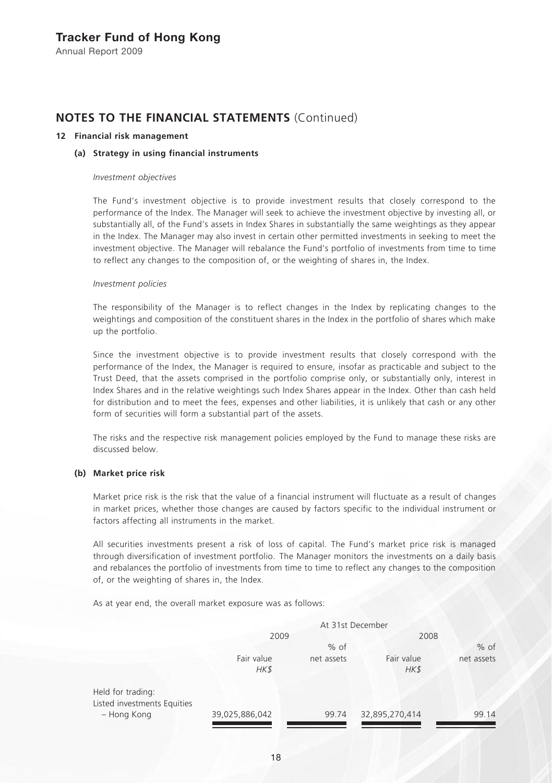# **NOTES TO THE FINANCIAL STATEMENTS** (Continued)

### **12 Financial risk management**

### **(a) Strategy in using financial instruments**

#### *Investment objectives*

The Fund's investment objective is to provide investment results that closely correspond to the performance of the Index. The Manager will seek to achieve the investment objective by investing all, or substantially all, of the Fund's assets in Index Shares in substantially the same weightings as they appear in the Index. The Manager may also invest in certain other permitted investments in seeking to meet the investment objective. The Manager will rebalance the Fund's portfolio of investments from time to time to reflect any changes to the composition of, or the weighting of shares in, the Index.

#### *Investment policies*

The responsibility of the Manager is to reflect changes in the Index by replicating changes to the weightings and composition of the constituent shares in the Index in the portfolio of shares which make up the portfolio.

Since the investment objective is to provide investment results that closely correspond with the performance of the Index, the Manager is required to ensure, insofar as practicable and subject to the Trust Deed, that the assets comprised in the portfolio comprise only, or substantially only, interest in Index Shares and in the relative weightings such Index Shares appear in the Index. Other than cash held for distribution and to meet the fees, expenses and other liabilities, it is unlikely that cash or any other form of securities will form a substantial part of the assets.

The risks and the respective risk management policies employed by the Fund to manage these risks are discussed below.

### **(b) Market price risk**

Market price risk is the risk that the value of a financial instrument will fluctuate as a result of changes in market prices, whether those changes are caused by factors specific to the individual instrument or factors affecting all instruments in the market.

All securities investments present a risk of loss of capital. The Fund's market price risk is managed through diversification of investment portfolio. The Manager monitors the investments on a daily basis and rebalances the portfolio of investments from time to time to reflect any changes to the composition of, or the weighting of shares in, the Index.

As at year end, the overall market exposure was as follows:

|                                                  | At 31st December   |            |                    |            |
|--------------------------------------------------|--------------------|------------|--------------------|------------|
|                                                  | 2009               |            | 2008               |            |
|                                                  |                    | $%$ of     |                    | $%$ of     |
|                                                  | Fair value<br>HK\$ | net assets | Fair value<br>HK\$ | net assets |
| Held for trading:<br>Listed investments Equities |                    |            |                    |            |
| - Hong Kong                                      | 39,025,886,042     | 99.74      | 32,895,270,414     | 99.14      |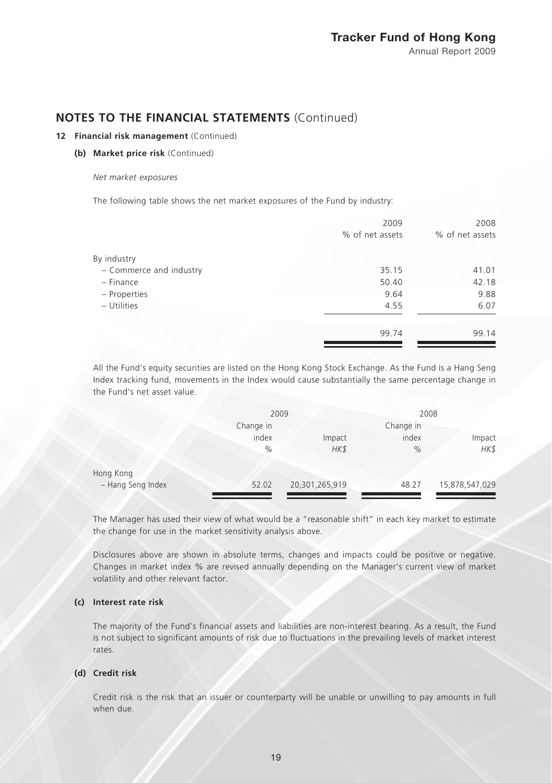### **12 Financial risk management** (Continued)

**(b) Market price risk** (Continued)

#### *Net market exposures*

The following table shows the net market exposures of the Fund by industry:

| 2009            | 2008            |
|-----------------|-----------------|
| % of net assets | % of net assets |
|                 |                 |
| 35.15           | 41.01           |
| 50.40           | 42.18           |
| 9.64            | 9.88            |
| 4.55            | 6.07            |
| 99.74           | 99.14           |
|                 |                 |

All the Fund's equity securities are listed on the Hong Kong Stock Exchange. As the Fund is a Hang Seng Index tracking fund, movements in the Index would cause substantially the same percentage change in the Fund's net asset value.

|                   | 2009          |                | 2008      |                |
|-------------------|---------------|----------------|-----------|----------------|
|                   | Change in     |                | Change in |                |
|                   | index         | Impact         | index     | Impact         |
|                   | $\frac{0}{0}$ | HK\$           | %         | HK\$           |
| Hong Kong         |               |                |           |                |
| - Hang Seng Index | 52.02         | 20,301,265,919 | 48.27     | 15,878,547,029 |

The Manager has used their view of what would be a "reasonable shift" in each key market to estimate the change for use in the market sensitivity analysis above.

Disclosures above are shown in absolute terms, changes and impacts could be positive or negative. Changes in market index % are revised annually depending on the Manager's current view of market volatility and other relevant factor.

### **(c) Interest rate risk**

The majority of the Fund's financial assets and liabilities are non-interest bearing. As a result, the Fund is not subject to significant amounts of risk due to fluctuations in the prevailing levels of market interest rates.

### **(d) Credit risk**

Credit risk is the risk that an issuer or counterparty will be unable or unwilling to pay amounts in full when due.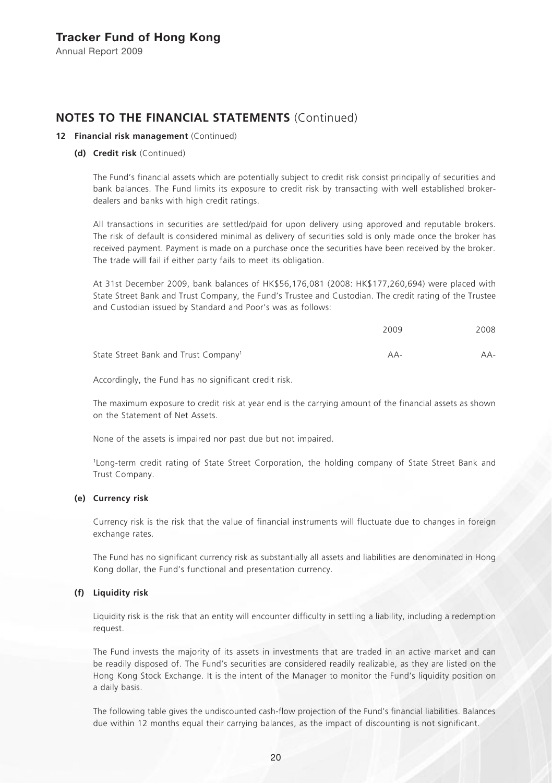# **NOTES TO THE FINANCIAL STATEMENTS** (Continued)

### **12 Financial risk management** (Continued)

### **(d) Credit risk** (Continued)

The Fund's financial assets which are potentially subject to credit risk consist principally of securities and bank balances. The Fund limits its exposure to credit risk by transacting with well established brokerdealers and banks with high credit ratings.

All transactions in securities are settled/paid for upon delivery using approved and reputable brokers. The risk of default is considered minimal as delivery of securities sold is only made once the broker has received payment. Payment is made on a purchase once the securities have been received by the broker. The trade will fail if either party fails to meet its obligation.

At 31st December 2009, bank balances of HK\$56,176,081 (2008: HK\$177,260,694) were placed with State Street Bank and Trust Company, the Fund's Trustee and Custodian. The credit rating of the Trustee and Custodian issued by Standard and Poor's was as follows:

|                                                  | 2009  | 2008  |
|--------------------------------------------------|-------|-------|
| State Street Bank and Trust Company <sup>1</sup> | $AA-$ | $AA-$ |

Accordingly, the Fund has no significant credit risk.

The maximum exposure to credit risk at year end is the carrying amount of the financial assets as shown on the Statement of Net Assets.

None of the assets is impaired nor past due but not impaired.

1Long-term credit rating of State Street Corporation, the holding company of State Street Bank and Trust Company.

#### **(e) Currency risk**

Currency risk is the risk that the value of financial instruments will fluctuate due to changes in foreign exchange rates.

The Fund has no significant currency risk as substantially all assets and liabilities are denominated in Hong Kong dollar, the Fund's functional and presentation currency.

### **(f) Liquidity risk**

Liquidity risk is the risk that an entity will encounter difficulty in settling a liability, including a redemption request.

The Fund invests the majority of its assets in investments that are traded in an active market and can be readily disposed of. The Fund's securities are considered readily realizable, as they are listed on the Hong Kong Stock Exchange. It is the intent of the Manager to monitor the Fund's liquidity position on a daily basis.

The following table gives the undiscounted cash-flow projection of the Fund's financial liabilities. Balances due within 12 months equal their carrying balances, as the impact of discounting is not significant.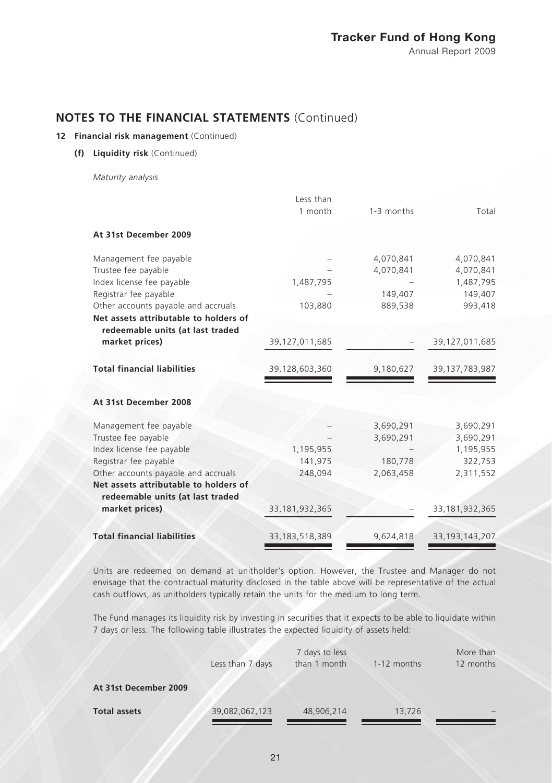### **12 Financial risk management** (Continued)

**(f) Liquidity risk** (Continued)

*Maturity analysis*

|                                       | Less than         |            |                   |
|---------------------------------------|-------------------|------------|-------------------|
|                                       | 1 month           | 1-3 months | Total             |
| At 31st December 2009                 |                   |            |                   |
| Management fee payable                |                   | 4,070,841  | 4,070,841         |
| Trustee fee payable                   |                   | 4,070,841  | 4,070,841         |
| Index license fee payable             | 1,487,795         |            | 1,487,795         |
| Registrar fee payable                 |                   | 149,407    | 149,407           |
| Other accounts payable and accruals   | 103,880           | 889,538    | 993,418           |
| Net assets attributable to holders of |                   |            |                   |
| redeemable units (at last traded      |                   |            |                   |
| market prices)                        | 39,127,011,685    |            | 39,127,011,685    |
|                                       |                   |            |                   |
| <b>Total financial liabilities</b>    | 39,128,603,360    | 9,180,627  | 39,137,783,987    |
|                                       |                   |            |                   |
| At 31st December 2008                 |                   |            |                   |
| Management fee payable                |                   | 3,690,291  | 3,690,291         |
| Trustee fee payable                   |                   | 3,690,291  | 3,690,291         |
| Index license fee payable             | 1,195,955         |            | 1,195,955         |
| Registrar fee payable                 | 141,975           | 180,778    | 322,753           |
| Other accounts payable and accruals   | 248,094           | 2,063,458  | 2,311,552         |
| Net assets attributable to holders of |                   |            |                   |
| redeemable units (at last traded      |                   |            |                   |
| market prices)                        | 33, 181, 932, 365 |            | 33, 181, 932, 365 |
|                                       |                   |            |                   |
| <b>Total financial liabilities</b>    | 33, 183, 518, 389 | 9,624,818  | 33, 193, 143, 207 |

Units are redeemed on demand at unitholder's option. However, the Trustee and Manager do not envisage that the contractual maturity disclosed in the table above will be representative of the actual cash outflows, as unitholders typically retain the units for the medium to long term.

The Fund manages its liquidity risk by investing in securities that it expects to be able to liquidate within 7 days or less. The following table illustrates the expected liquidity of assets held:

|                       | Less than 7 days | 7 days to less<br>than 1 month | 1-12 months | More than<br>12 months |
|-----------------------|------------------|--------------------------------|-------------|------------------------|
| At 31st December 2009 |                  |                                |             |                        |
| <b>Total assets</b>   | 39,082,062,123   | 48,906,214                     | 13,726      |                        |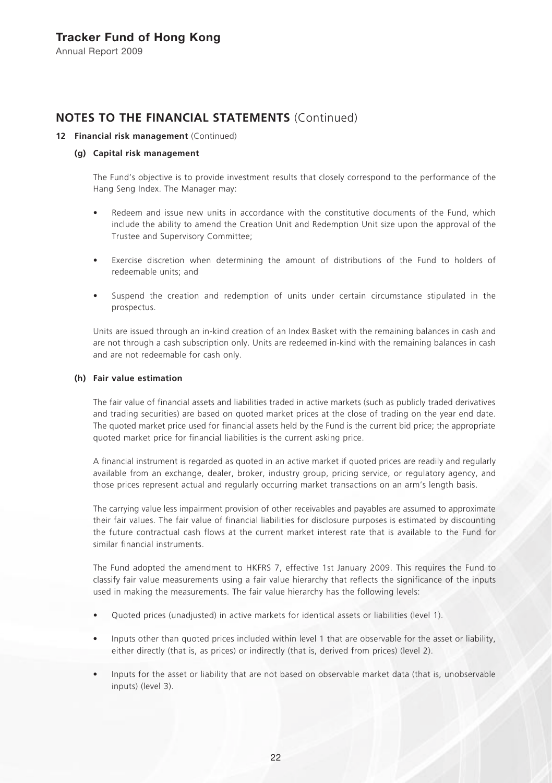# **NOTES TO THE FINANCIAL STATEMENTS** (Continued)

### **12 Financial risk management** (Continued)

### **(g) Capital risk management**

The Fund's objective is to provide investment results that closely correspond to the performance of the Hang Seng Index. The Manager may:

- Redeem and issue new units in accordance with the constitutive documents of the Fund, which include the ability to amend the Creation Unit and Redemption Unit size upon the approval of the Trustee and Supervisory Committee;
- Exercise discretion when determining the amount of distributions of the Fund to holders of redeemable units; and
- Suspend the creation and redemption of units under certain circumstance stipulated in the prospectus.

Units are issued through an in-kind creation of an Index Basket with the remaining balances in cash and are not through a cash subscription only. Units are redeemed in-kind with the remaining balances in cash and are not redeemable for cash only.

### **(h) Fair value estimation**

The fair value of financial assets and liabilities traded in active markets (such as publicly traded derivatives and trading securities) are based on quoted market prices at the close of trading on the year end date. The quoted market price used for financial assets held by the Fund is the current bid price; the appropriate quoted market price for financial liabilities is the current asking price.

A financial instrument is regarded as quoted in an active market if quoted prices are readily and regularly available from an exchange, dealer, broker, industry group, pricing service, or regulatory agency, and those prices represent actual and regularly occurring market transactions on an arm's length basis.

The carrying value less impairment provision of other receivables and payables are assumed to approximate their fair values. The fair value of financial liabilities for disclosure purposes is estimated by discounting the future contractual cash flows at the current market interest rate that is available to the Fund for similar financial instruments.

The Fund adopted the amendment to HKFRS 7, effective 1st January 2009. This requires the Fund to classify fair value measurements using a fair value hierarchy that reflects the significance of the inputs used in making the measurements. The fair value hierarchy has the following levels:

- Quoted prices (unadjusted) in active markets for identical assets or liabilities (level 1).
- Inputs other than quoted prices included within level 1 that are observable for the asset or liability, either directly (that is, as prices) or indirectly (that is, derived from prices) (level 2).
- Inputs for the asset or liability that are not based on observable market data (that is, unobservable inputs) (level 3).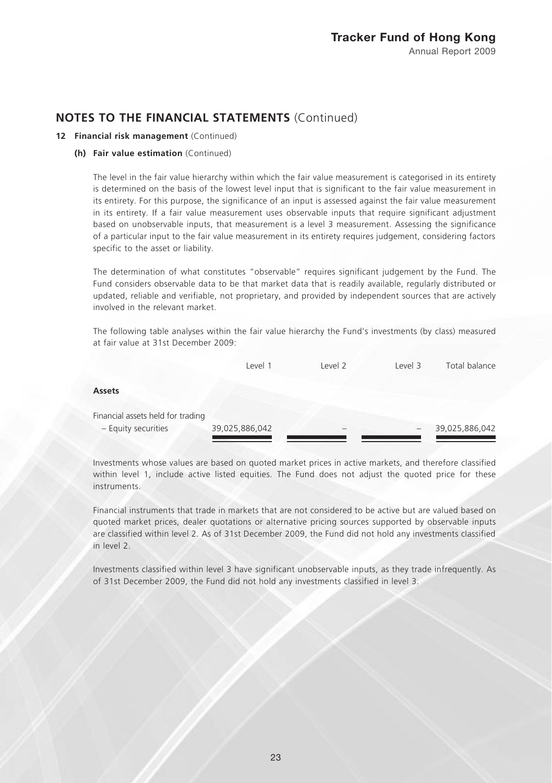### **12 Financial risk management** (Continued)

#### **(h) Fair value estimation** (Continued)

The level in the fair value hierarchy within which the fair value measurement is categorised in its entirety is determined on the basis of the lowest level input that is significant to the fair value measurement in its entirety. For this purpose, the significance of an input is assessed against the fair value measurement in its entirety. If a fair value measurement uses observable inputs that require significant adjustment based on unobservable inputs, that measurement is a level 3 measurement. Assessing the significance of a particular input to the fair value measurement in its entirety requires judgement, considering factors specific to the asset or liability.

The determination of what constitutes "observable" requires significant judgement by the Fund. The Fund considers observable data to be that market data that is readily available, regularly distributed or updated, reliable and verifiable, not proprietary, and provided by independent sources that are actively involved in the relevant market.

The following table analyses within the fair value hierarchy the Fund's investments (by class) measured at fair value at 31st December 2009:

|                                   | Level 1        | level <sub>2</sub> | Level 3 | Total balance  |
|-----------------------------------|----------------|--------------------|---------|----------------|
| <b>Assets</b>                     |                |                    |         |                |
| Financial assets held for trading |                |                    |         |                |
| - Equity securities               | 39,025,886,042 |                    |         | 39,025,886,042 |

Investments whose values are based on quoted market prices in active markets, and therefore classified within level 1, include active listed equities. The Fund does not adjust the quoted price for these instruments.

Financial instruments that trade in markets that are not considered to be active but are valued based on quoted market prices, dealer quotations or alternative pricing sources supported by observable inputs are classified within level 2. As of 31st December 2009, the Fund did not hold any investments classified in level 2.

Investments classified within level 3 have significant unobservable inputs, as they trade infrequently. As of 31st December 2009, the Fund did not hold any investments classified in level 3.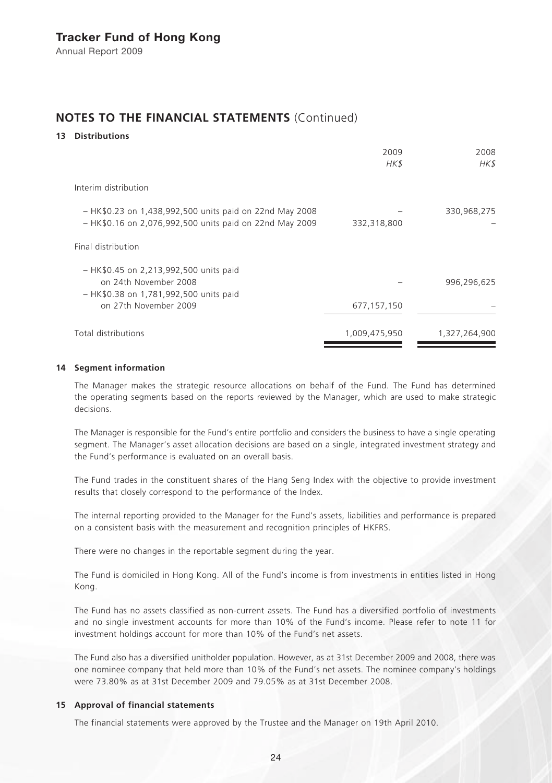## **NOTES TO THE FINANCIAL STATEMENTS** (Continued)

### **13 Distributions**

|                                                         | 2009          | 2008          |
|---------------------------------------------------------|---------------|---------------|
|                                                         | HK\$          | HK\$          |
| Interim distribution                                    |               |               |
| - HK\$0.23 on 1,438,992,500 units paid on 22nd May 2008 |               | 330,968,275   |
| - HK\$0.16 on 2,076,992,500 units paid on 22nd May 2009 | 332,318,800   |               |
| Final distribution                                      |               |               |
| - HK\$0.45 on 2,213,992,500 units paid                  |               |               |
| on 24th November 2008                                   |               | 996,296,625   |
| - HK\$0.38 on 1,781,992,500 units paid                  |               |               |
| on 27th November 2009                                   | 677,157,150   |               |
| Total distributions                                     | 1,009,475,950 | 1,327,264,900 |
|                                                         |               |               |

### **14 Segment information**

The Manager makes the strategic resource allocations on behalf of the Fund. The Fund has determined the operating segments based on the reports reviewed by the Manager, which are used to make strategic decisions.

The Manager is responsible for the Fund's entire portfolio and considers the business to have a single operating segment. The Manager's asset allocation decisions are based on a single, integrated investment strategy and the Fund's performance is evaluated on an overall basis.

The Fund trades in the constituent shares of the Hang Seng Index with the objective to provide investment results that closely correspond to the performance of the Index.

The internal reporting provided to the Manager for the Fund's assets, liabilities and performance is prepared on a consistent basis with the measurement and recognition principles of HKFRS.

There were no changes in the reportable segment during the year.

The Fund is domiciled in Hong Kong. All of the Fund's income is from investments in entities listed in Hong Kong.

The Fund has no assets classified as non-current assets. The Fund has a diversified portfolio of investments and no single investment accounts for more than 10% of the Fund's income. Please refer to note 11 for investment holdings account for more than 10% of the Fund's net assets.

The Fund also has a diversified unitholder population. However, as at 31st December 2009 and 2008, there was one nominee company that held more than 10% of the Fund's net assets. The nominee company's holdings were 73.80% as at 31st December 2009 and 79.05% as at 31st December 2008.

### **15 Approval of financial statements**

The financial statements were approved by the Trustee and the Manager on 19th April 2010.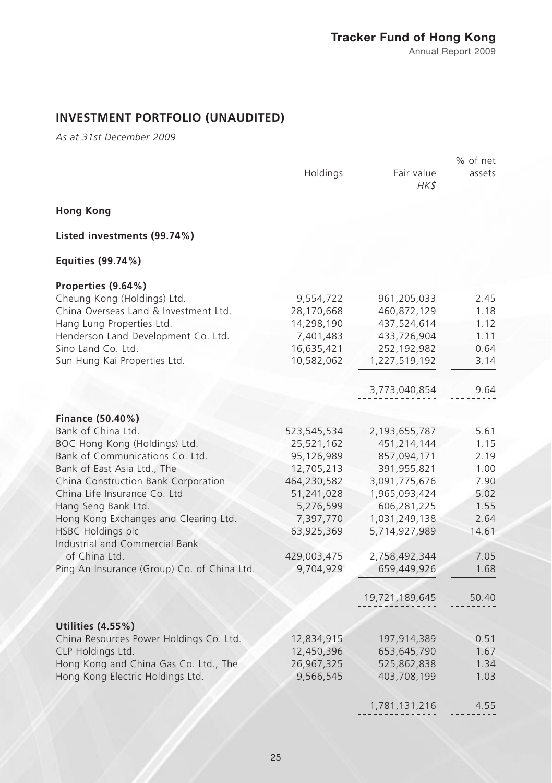# Tracker Fund of Hong Kong

Annual Report 2009

# **INVESTMENT PORTFOLIO (UNAUDITED)**

*As at 31st December 2009*

|                                                            |             |                    | % of net |
|------------------------------------------------------------|-------------|--------------------|----------|
|                                                            | Holdings    | Fair value<br>HK\$ | assets   |
| <b>Hong Kong</b>                                           |             |                    |          |
| Listed investments (99.74%)                                |             |                    |          |
| Equities (99.74%)                                          |             |                    |          |
| Properties (9.64%)                                         |             |                    |          |
| Cheung Kong (Holdings) Ltd.                                | 9,554,722   | 961,205,033        | 2.45     |
| China Overseas Land & Investment Ltd.                      | 28,170,668  | 460,872,129        | 1.18     |
| Hang Lung Properties Ltd.                                  | 14,298,190  | 437,524,614        | 1.12     |
| Henderson Land Development Co. Ltd.                        | 7,401,483   | 433,726,904        | 1.11     |
| Sino Land Co. Ltd.                                         | 16,635,421  | 252,192,982        | 0.64     |
| Sun Hung Kai Properties Ltd.                               | 10,582,062  | 1,227,519,192      | 3.14     |
|                                                            |             | 3,773,040,854      | 9.64     |
|                                                            |             |                    |          |
| Finance (50.40%)                                           |             |                    |          |
| Bank of China Ltd.                                         | 523,545,534 | 2,193,655,787      | 5.61     |
| BOC Hong Kong (Holdings) Ltd.                              | 25,521,162  | 451,214,144        | 1.15     |
| Bank of Communications Co. Ltd.                            | 95,126,989  | 857,094,171        | 2.19     |
| Bank of East Asia Ltd., The                                | 12,705,213  | 391,955,821        | 1.00     |
| China Construction Bank Corporation                        | 464,230,582 | 3,091,775,676      | 7.90     |
| China Life Insurance Co. Ltd                               | 51,241,028  | 1,965,093,424      | 5.02     |
| Hang Seng Bank Ltd.                                        | 5,276,599   | 606,281,225        | 1.55     |
| Hong Kong Exchanges and Clearing Ltd.                      | 7,397,770   | 1,031,249,138      | 2.64     |
| <b>HSBC Holdings plc</b><br>Industrial and Commercial Bank | 63,925,369  | 5,714,927,989      | 14.61    |
| of China Ltd.                                              | 429,003,475 | 2,758,492,344      | 7.05     |
| Ping An Insurance (Group) Co. of China Ltd.                | 9,704,929   | 659,449,926        | 1.68     |
|                                                            |             | 19,721,189,645     | 50.40    |
|                                                            |             |                    |          |
| <b>Utilities (4.55%)</b>                                   |             |                    |          |
| China Resources Power Holdings Co. Ltd.                    | 12,834,915  | 197,914,389        | 0.51     |
| CLP Holdings Ltd.                                          | 12,450,396  | 653,645,790        | 1.67     |
| Hong Kong and China Gas Co. Ltd., The                      | 26,967,325  | 525,862,838        | 1.34     |
| Hong Kong Electric Holdings Ltd.                           | 9,566,545   | 403,708,199        | 1.03     |
|                                                            |             | 1,781,131,216      | 4.55     |
|                                                            |             |                    |          |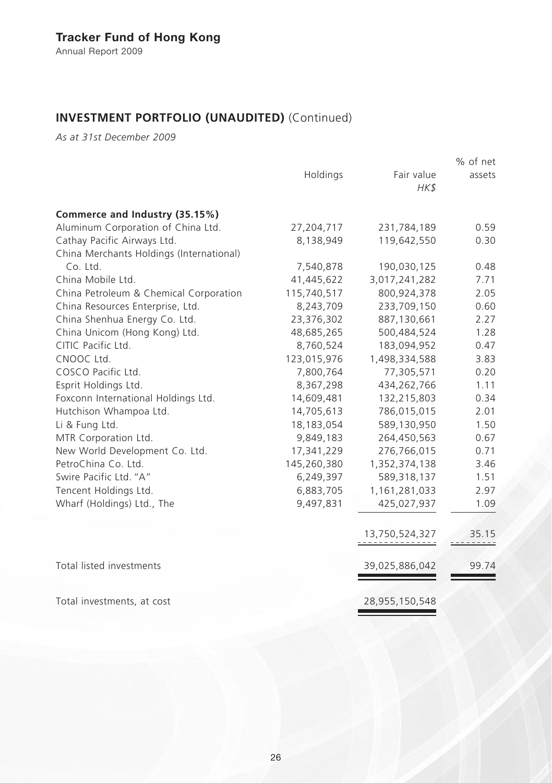# **INVESTMENT PORTFOLIO (UNAUDITED)** (Continued)

*As at 31st December 2009*

|                                          |             |                    | % of net |
|------------------------------------------|-------------|--------------------|----------|
|                                          | Holdings    | Fair value<br>HK\$ | assets   |
|                                          |             |                    |          |
| Commerce and Industry (35.15%)           |             |                    |          |
| Aluminum Corporation of China Ltd.       | 27,204,717  | 231,784,189        | 0.59     |
| Cathay Pacific Airways Ltd.              | 8,138,949   | 119,642,550        | 0.30     |
| China Merchants Holdings (International) |             |                    |          |
| Co. Ltd.                                 | 7,540,878   | 190,030,125        | 0.48     |
| China Mobile Ltd.                        | 41,445,622  | 3,017,241,282      | 7.71     |
| China Petroleum & Chemical Corporation   | 115,740,517 | 800,924,378        | 2.05     |
| China Resources Enterprise, Ltd.         | 8,243,709   | 233,709,150        | 0.60     |
| China Shenhua Energy Co. Ltd.            | 23,376,302  | 887,130,661        | 2.27     |
| China Unicom (Hong Kong) Ltd.            | 48,685,265  | 500,484,524        | 1.28     |
| CITIC Pacific Ltd.                       | 8,760,524   | 183,094,952        | 0.47     |
| CNOOC Ltd.                               | 123,015,976 | 1,498,334,588      | 3.83     |
| COSCO Pacific Ltd.                       | 7,800,764   | 77,305,571         | 0.20     |
| Esprit Holdings Ltd.                     | 8,367,298   | 434,262,766        | 1.11     |
| Foxconn International Holdings Ltd.      | 14,609,481  | 132,215,803        | 0.34     |
| Hutchison Whampoa Ltd.                   | 14,705,613  | 786,015,015        | 2.01     |
| Li & Fung Ltd.                           | 18,183,054  | 589,130,950        | 1.50     |
| MTR Corporation Ltd.                     | 9,849,183   | 264,450,563        | 0.67     |
| New World Development Co. Ltd.           | 17,341,229  | 276,766,015        | 0.71     |
| PetroChina Co. Ltd.                      | 145,260,380 | 1,352,374,138      | 3.46     |
| Swire Pacific Ltd. "A"                   | 6,249,397   | 589,318,137        | 1.51     |
| Tencent Holdings Ltd.                    | 6,883,705   | 1,161,281,033      | 2.97     |
| Wharf (Holdings) Ltd., The               | 9,497,831   | 425,027,937        | 1.09     |
|                                          |             | 13,750,524,327     | 35.15    |
| Total listed investments                 |             | 39,025,886,042     | 99.74    |

Total investments, at cost 28,955,150,548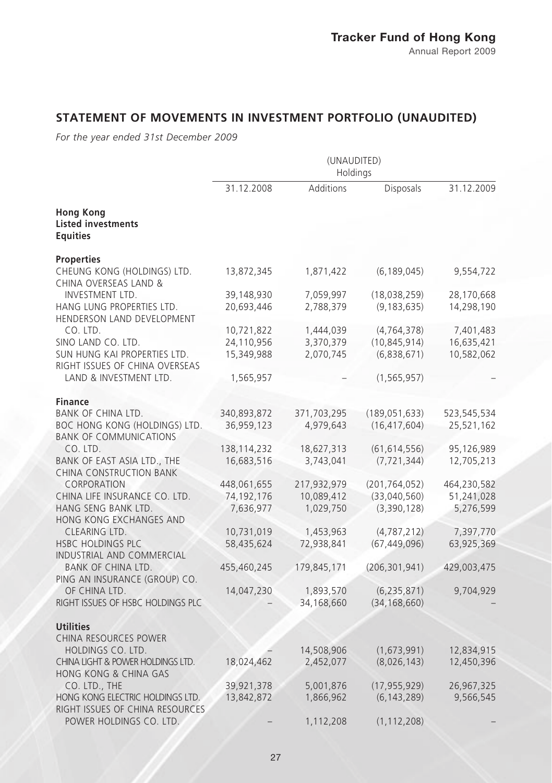# **STATEMENT OF MOVEMENTS IN INVESTMENT PORTFOLIO (UNAUDITED)**

*For the year ended 31st December 2009*

|                                                                                                               | (UNAUDITED)<br>Holdings                |                                        |                                                |                                        |
|---------------------------------------------------------------------------------------------------------------|----------------------------------------|----------------------------------------|------------------------------------------------|----------------------------------------|
|                                                                                                               | 31.12.2008                             | Additions                              | Disposals                                      | 31.12.2009                             |
| Hong Kong<br><b>Listed investments</b><br><b>Equities</b>                                                     |                                        |                                        |                                                |                                        |
| <b>Properties</b><br>CHEUNG KONG (HOLDINGS) LTD.<br>CHINA OVERSEAS LAND &                                     | 13,872,345                             | 1,871,422                              | (6, 189, 045)                                  | 9,554,722                              |
| INVESTMENT LTD.<br>HANG LUNG PROPERTIES LTD.<br>HENDERSON LAND DEVELOPMENT                                    | 39,148,930<br>20,693,446               | 7,059,997<br>2,788,379                 | (18,038,259)<br>(9, 183, 635)                  | 28,170,668<br>14,298,190               |
| CO. LTD.<br>SINO LAND CO. LTD.<br>SUN HUNG KAI PROPERTIES LTD.                                                | 10,721,822<br>24,110,956<br>15,349,988 | 1,444,039<br>3,370,379<br>2,070,745    | (4, 764, 378)<br>(10, 845, 914)<br>(6,838,671) | 7,401,483<br>16,635,421<br>10,582,062  |
| RIGHT ISSUES OF CHINA OVERSEAS<br>LAND & INVESTMENT LTD.                                                      | 1,565,957                              |                                        | (1, 565, 957)                                  |                                        |
| <b>Finance</b><br><b>BANK OF CHINA LTD.</b><br>BOC HONG KONG (HOLDINGS) LTD.<br><b>BANK OF COMMUNICATIONS</b> | 340,893,872<br>36,959,123              | 371,703,295<br>4,979,643               | (189, 051, 633)<br>(16, 417, 604)              | 523,545,534<br>25,521,162              |
| CO. LTD.<br>BANK OF EAST ASIA LTD., THE<br><b>CHINA CONSTRUCTION BANK</b>                                     | 138, 114, 232<br>16,683,516            | 18,627,313<br>3,743,041                | (61, 614, 556)<br>(7, 721, 344)                | 95,126,989<br>12,705,213               |
| CORPORATION<br>CHINA LIFE INSURANCE CO. LTD.<br>HANG SENG BANK LTD.<br>HONG KONG EXCHANGES AND                | 448,061,655<br>74,192,176<br>7,636,977 | 217,932,979<br>10,089,412<br>1,029,750 | (201, 764, 052)<br>(33,040,560)<br>(3,390,128) | 464,230,582<br>51,241,028<br>5,276,599 |
| CLEARING LTD.<br><b>HSBC HOLDINGS PLC</b><br>INDUSTRIAL AND COMMERCIAL                                        | 10,731,019<br>58,435,624               | 1,453,963<br>72,938,841                | (4, 787, 212)<br>(67, 449, 096)                | 7,397,770<br>63,925,369                |
| <b>BANK OF CHINA LTD.</b><br>PING AN INSURANCE (GROUP) CO.                                                    | 455,460,245                            | 179,845,171                            | (206, 301, 941)                                | 429,003,475                            |
| OF CHINA LTD.<br>RIGHT ISSUES OF HSBC HOLDINGS PLC                                                            | 14,047,230                             | 1,893,570<br>34,168,660                | (6, 235, 871)<br>(34, 168, 660)                | 9,704,929                              |
| <b>Utilities</b><br>CHINA RESOURCES POWER                                                                     |                                        |                                        |                                                |                                        |
| HOLDINGS CO. LTD.<br>CHINA LIGHT & POWER HOLDINGS LTD.<br><b>HONG KONG &amp; CHINA GAS</b>                    | 18,024,462                             | 14,508,906<br>2,452,077                | (1,673,991)<br>(8,026,143)                     | 12,834,915<br>12,450,396               |
| CO. LTD., THE<br>HONG KONG ELECTRIC HOLDINGS LTD.<br>RIGHT ISSUES OF CHINA RESOURCES                          | 39,921,378<br>13,842,872               | 5,001,876<br>1,866,962                 | (17, 955, 929)<br>(6, 143, 289)                | 26,967,325<br>9,566,545                |
| POWER HOLDINGS CO. LTD.                                                                                       |                                        | 1,112,208                              | (1, 112, 208)                                  |                                        |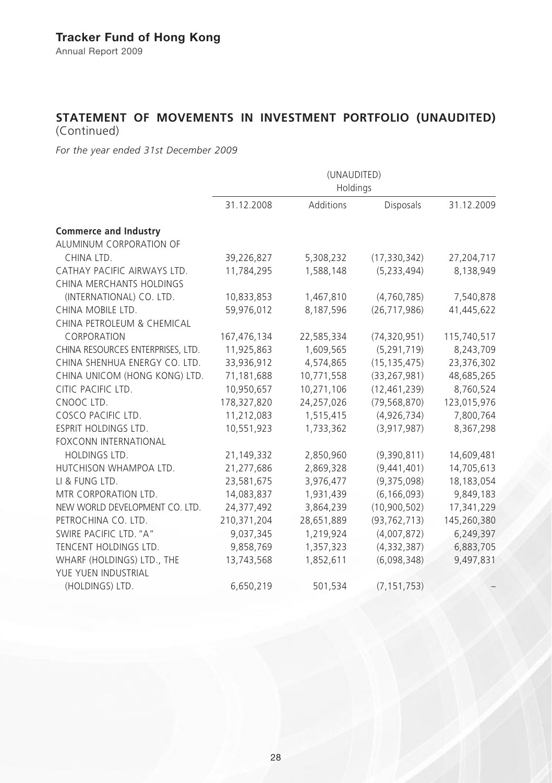# **STATEMENT OF MOVEMENTS IN INVESTMENT PORTFOLIO (UNAUDITED)**  (Continued)

*For the year ended 31st December 2009*

|                                                   | (UNAUDITED)<br>Holdings |            |                |             |
|---------------------------------------------------|-------------------------|------------|----------------|-------------|
|                                                   | 31.12.2008              | Additions  | Disposals      | 31.12.2009  |
| <b>Commerce and Industry</b>                      |                         |            |                |             |
| ALUMINUM CORPORATION OF                           |                         |            |                |             |
| CHINA LTD.                                        | 39,226,827              | 5,308,232  | (17, 330, 342) | 27,204,717  |
| CATHAY PACIFIC AIRWAYS LTD.                       | 11,784,295              | 1,588,148  | (5, 233, 494)  | 8,138,949   |
| CHINA MERCHANTS HOLDINGS                          |                         |            |                |             |
| (INTERNATIONAL) CO. LTD.                          | 10,833,853              | 1,467,810  | (4,760,785)    | 7,540,878   |
| CHINA MOBILE LTD.                                 | 59,976,012              | 8,187,596  | (26, 717, 986) | 41,445,622  |
| CHINA PETROLEUM & CHEMICAL                        |                         |            |                |             |
| CORPORATION                                       | 167,476,134             | 22,585,334 | (74, 320, 951) | 115,740,517 |
| CHINA RESOURCES ENTERPRISES, LTD.                 | 11,925,863              | 1,609,565  | (5, 291, 719)  | 8,243,709   |
| CHINA SHENHUA ENERGY CO. LTD.                     | 33,936,912              | 4,574,865  | (15, 135, 475) | 23,376,302  |
| CHINA UNICOM (HONG KONG) LTD.                     | 71,181,688              | 10,771,558 | (33, 267, 981) | 48,685,265  |
| CITIC PACIFIC LTD.                                | 10,950,657              | 10,271,106 | (12, 461, 239) | 8,760,524   |
| CNOOC LTD.                                        | 178,327,820             | 24,257,026 | (79, 568, 870) | 123,015,976 |
| COSCO PACIFIC LTD.                                | 11,212,083              | 1,515,415  | (4,926,734)    | 7,800,764   |
| <b>ESPRIT HOLDINGS LTD.</b>                       | 10,551,923              | 1,733,362  | (3,917,987)    | 8,367,298   |
| <b>FOXCONN INTERNATIONAL</b>                      |                         |            |                |             |
| HOLDINGS LTD.                                     | 21,149,332              | 2,850,960  | (9,390,811)    | 14,609,481  |
| HUTCHISON WHAMPOA LTD.                            | 21,277,686              | 2,869,328  | (9,441,401)    | 14,705,613  |
| LI & FUNG LTD.                                    | 23,581,675              | 3,976,477  | (9,375,098)    | 18,183,054  |
| MTR CORPORATION LTD.                              | 14,083,837              | 1,931,439  | (6, 166, 093)  | 9,849,183   |
| NEW WORLD DEVELOPMENT CO. LTD.                    | 24,377,492              | 3,864,239  | (10,900,502)   | 17,341,229  |
| PETROCHINA CO. LTD.                               | 210,371,204             | 28,651,889 | (93, 762, 713) | 145,260,380 |
| SWIRE PACIFIC LTD. "A"                            | 9,037,345               | 1,219,924  | (4,007,872)    | 6,249,397   |
| TENCENT HOLDINGS LTD.                             | 9,858,769               | 1,357,323  | (4,332,387)    | 6,883,705   |
| WHARF (HOLDINGS) LTD., THE<br>YUE YUEN INDUSTRIAL | 13,743,568              | 1,852,611  | (6,098,348)    | 9,497,831   |
| (HOLDINGS) LTD.                                   | 6,650,219               | 501,534    | (7, 151, 753)  |             |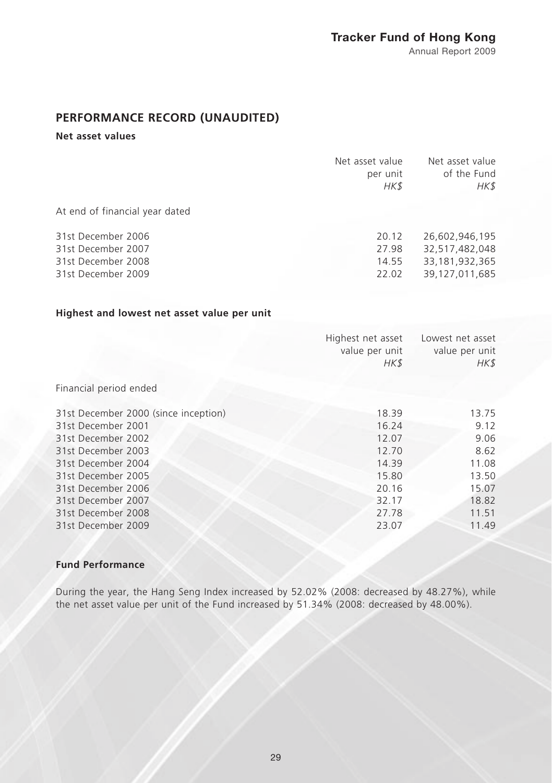# Tracker Fund of Hong Kong

Annual Report 2009

# **PERFORMANCE RECORD (UNAUDITED)**

### **Net asset values**

|                                                                                      | Net asset value<br>per unit<br>HK\$ | Net asset value<br>of the Fund<br>HK\$                                  |
|--------------------------------------------------------------------------------------|-------------------------------------|-------------------------------------------------------------------------|
| At end of financial year dated                                                       |                                     |                                                                         |
| 31st December 2006<br>31st December 2007<br>31st December 2008<br>31st December 2009 | 20.12<br>27.98<br>14.55<br>22.02    | 26.602.946.195<br>32,517,482,048<br>33, 181, 932, 365<br>39.127.011.685 |

### **Highest and lowest net asset value per unit**

|                                      | Highest net asset<br>value per unit<br>HK\$ | Lowest net asset<br>value per unit<br>HK\$ |
|--------------------------------------|---------------------------------------------|--------------------------------------------|
| Financial period ended               |                                             |                                            |
| 31st December 2000 (since inception) | 18.39                                       | 13.75                                      |
| 31st December 2001                   | 16.24                                       | 9.12                                       |
| 31st December 2002                   | 12.07                                       | 9.06                                       |
| 31st December 2003                   | 12.70                                       | 8.62                                       |
| 31st December 2004                   | 14.39                                       | 11.08                                      |
| 31st December 2005                   | 15.80                                       | 13.50                                      |
| 31st December 2006                   | 20.16                                       | 15.07                                      |
| 31st December 2007                   | 32.17                                       | 18.82                                      |
| 31st December 2008                   | 27.78                                       | 11.51                                      |
| 31st December 2009                   | 23.07                                       | 11.49                                      |

### **Fund Performance**

During the year, the Hang Seng Index increased by 52.02% (2008: decreased by 48.27%), while the net asset value per unit of the Fund increased by 51.34% (2008: decreased by 48.00%).